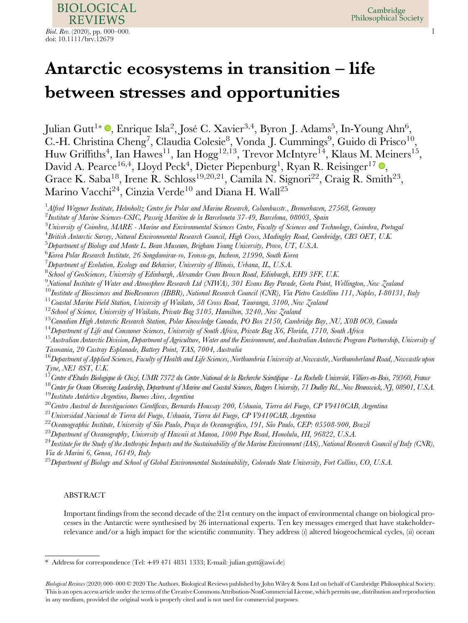# Antarctic ecosystems in transition – life between stresses and opportunities

Julian Gutt<sup>1</sup>\* ®, Enrique Isla<sup>2</sup>, José C. Xavier<sup>3,4</sup>, Byron J. Adams<sup>5</sup>, In-Young Ahn<sup>6</sup>, C.-H. Christina Cheng<sup>7</sup>, Claudia Colesie<sup>8</sup>, Vonda J. Cummings<sup>9</sup>, Guido di Prisco<sup>10</sup>, Huw Griffiths<sup>4</sup>, Ian Hawes<sup>11</sup>, Ian Hogg<sup>12,13</sup>, Trevor McIntyre<sup>14</sup>, Klaus M. Meiners<sup>15</sup>, David A. Pearce<sup>16,4</sup>, Lloyd Peck<sup>4</sup>, Dieter Piepenburg<sup>1</sup>, Ryan R. Reisinger<sup>17</sup> ®, Grace K. Saba<sup>18</sup>, Irene R. Schloss<sup>19,20,21</sup>, Camila N. Signori<sup>22</sup>, Craig R. Smith<sup>23</sup>, Marino Vacchi<sup>24</sup>, Cinzia Verde<sup>10</sup> and Diana H. Wall<sup>25</sup>

 $^1$ Alfred Wegener Institute, Helmholtz Centre for Polar and Marine Research, Columbusstr., Bremerhaven, 27568, Germany

 $^3$ University of Coimbra, MARE - Marine and Environmental Sciences Centre, Faculty of Sciences and Technology, Coimbra, Portugal

4 British Antarctic Survey, Natural Environmental Research Council, High Cross, Madingley Road, Cambridge, CB3 OET, U.K.

- $^5$ Department of Biology and Monte L. Bean Museum, Brigham Young University, Provo, UT, U.S.A.
- $^6\!$ Korea Polar Research Institute, 26 Songdomirae-ro, Yeonsu-gu, Incheon, 21990, South Korea

 $^7$ Department of Evolution, Ecology and Behavior, University of Illinois, Urbana, IL, U.S.A.

<sup>8</sup> School of GeoSciences, University of Edinburgh, Alexander Crum Brown Road, Edinburgh, EH9 3FF, U.K.

 $^9$ National Institute of Water and Atmosphere Research Ltd (NIWA), 301 Evans Bay Parade, Greta Point, Wellington, New Zealand

 $^{10}$ Institute of Biosciences and BioResources (IBBR), National Research Council (CNR), Via Pietro Castellino 111, Naples, I-80131, Italy

 $11$ Coastal Marine Field Station, University of Waikato, 58 Cross Road, Tauranga, 3100, New Zealand

<sup>12</sup> School of Science, University of Waikato, Private Bag 3105, Hamilton, 3240, New Zealand

<sup>13</sup> Canadian High Antarctic Research Station, Polar Knowledge Canada, PO Box 2150, Cambridge Bay, NU, X0B 0C0, Canada

 $14$ Department of Life and Consumer Sciences, University of South Africa, Private Bag X6, Florida, 1710, South Africa

 $^{15}A$ ustralian Antarctic Division, Department of Agriculture, Water and the Environment, and Australian Antarctic Program Partnership, University of Tasmania, 20 Castray Esplanade, Battery Point, TAS, 7004, Australia

 $^{16}$ Department of Applied Sciences, Faculty of Health and Life Sciences, Northumbria University at Newcastle, Northumberland Road, Newcastle upon Tyne, NE1 8ST, U.K.<br><sup>17</sup>Centre d'Etudes Biologique de Chizé, UMR 7372 du Centre National de la Recherche Scientifique - La Rochelle Université, Villiers-en-Bois, 79360, France

<sup>18</sup> Center for Ocean Observing Leadership, Department of Marine and Coastal Sciences, Rutgers University, 71 Dudley Rd., New Brunswick, NJ, 08901, U.S.A.<br><sup>19</sup> Instituto Antártico Argentino, Buenos Aires, Argentina

 $^{20}$ Centro Austral de Investigaciones Científicas, Bernardo Houssay 200, Ushuaia, Tierra del Fuego, CP V9410CAB, Argentina

 $^{21}$ Universidad Nacional de Tierra del Fuego, Ushuaia, Tierra del Fuego, CP V9410CAB, Argentina

<sup>22</sup> Oceanographic Institute, University of São Paulo, Praça do Oceanográfico, 191, São Paulo, CEP: 05508-900, Brazil  $^{23}$ Debartment of Oceanography, University of Hawaii at Manoa, 1000 Pope Road, Honolulu, HI, 96822, U

 $^{24}$ Institute for the Study of the Anthropic Impacts and the Sustainability of the Marine Environment (IAS), National Research Council of Italy (CNR), Via de Marini 6, Genoa, 16149, Italy

 $^{25}$ Department of Biology and School of Global Environmental Sustainability, Colorado State University, Fort Collins, CO, U.S.A.

# ABSTRACT

Important findings from the second decade of the 21st century on the impact of environmental change on biological processes in the Antarctic were synthesised by 26 international experts. Ten key messages emerged that have stakeholderrelevance and/or a high impact for the scientific community. They address  $(i)$  altered biogeochemical cycles,  $(ii)$  ocean

 $^2$ Institute of Marine Sciences-CSIC, Passeig Maritim de la Barceloneta 37-49, Barcelona, 08003, Spain

<sup>\*</sup> Address for correspondence (Tel: +49 471 4831 1333; E-mail: [julian.gutt@awi.de](mailto:julian.gutt@awi.de))

Biological Reviews (2020) 000-000 © 2020 The Authors. Biological Reviews published by John Wiley & Sons Ltd on behalf of Cambridge Philosophical Society. This is an open access article under the terms of the [Creative Commons Attribution-NonCommercial](http://creativecommons.org/licenses/by-nc/4.0/) License, which permits use, distribution and reproduction in any medium, provided the original work is properly cited and is not used for commercial purposes.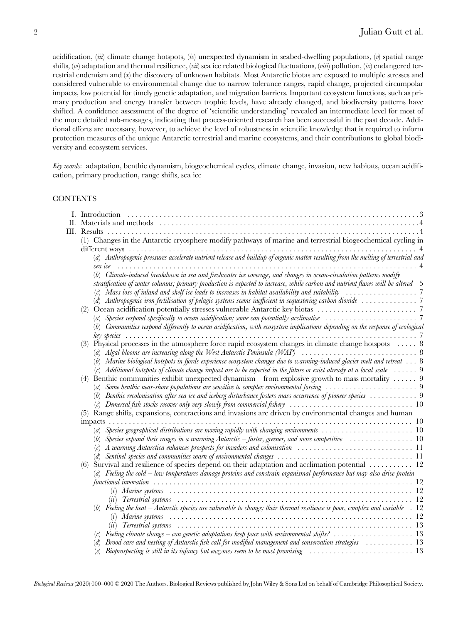acidification,  $(iii)$  climate change hotspots,  $(iv)$  unexpected dynamism in seabed-dwelling populations,  $(v)$  spatial range shifts,  $(vi)$  adaptation and thermal resilience,  $(vii)$  sea ice related biological fluctuations,  $(viii)$  pollution,  $(iv)$  endangered terrestrial endemism and  $(x)$  the discovery of unknown habitats. Most Antarctic biotas are exposed to multiple stresses and considered vulnerable to environmental change due to narrow tolerance ranges, rapid change, projected circumpolar impacts, low potential for timely genetic adaptation, and migration barriers. Important ecosystem functions, such as primary production and energy transfer between trophic levels, have already changed, and biodiversity patterns have shifted. A confidence assessment of the degree of 'scientific understanding' revealed an intermediate level for most of the more detailed sub-messages, indicating that process-oriented research has been successful in the past decade. Additional efforts are necessary, however, to achieve the level of robustness in scientific knowledge that is required to inform protection measures of the unique Antarctic terrestrial and marine ecosystems, and their contributions to global biodiversity and ecosystem services.

Key words: adaptation, benthic dynamism, biogeochemical cycles, climate change, invasion, new habitats, ocean acidification, primary production, range shifts, sea ice

## **CONTENTS**

| П. |                                                                                                                                           |
|----|-------------------------------------------------------------------------------------------------------------------------------------------|
|    |                                                                                                                                           |
|    | (1) Changes in the Antarctic cryosphere modify pathways of marine and terrestrial biogeochemical cycling in                               |
|    |                                                                                                                                           |
|    | (a) Anthropogenic pressures accelerate nutrient release and buildup of organic matter resulting from the melting of terrestrial and       |
|    |                                                                                                                                           |
|    | (b) Climate-induced breakdown in sea and freshwater ice coverage, and changes in ocean-circulation patterns modify                        |
|    | stratification of water columns; primary production is expected to increase, while carbon and nutrient fluxes will be altered 5           |
|    |                                                                                                                                           |
|    |                                                                                                                                           |
|    | (2)                                                                                                                                       |
|    |                                                                                                                                           |
|    | (b) Communities respond differently to ocean acidification, with ecosystem implications depending on the response of ecological           |
|    |                                                                                                                                           |
|    | Physical processes in the atmosphere force rapid ecosystem changes in climate change hotspots $\dots$ . 8                                 |
|    |                                                                                                                                           |
|    | Marine biological hotspots in fjords experience ecosystem changes due to warming-induced glacier melt and retreat  8                      |
|    | (c) Additional hotspots of climate change impact are to be expected in the future or exist already at a local scale $\ldots \ldots$ 9     |
|    | Benthic communities exhibit unexpected dynamism – from explosive growth to mass mortality  9<br>(4)                                       |
|    | (a)                                                                                                                                       |
|    | (b) Benthic recolonisation after sea ice and iceberg disturbance fosters mass occurrence of pioneer species  9                            |
|    |                                                                                                                                           |
|    | Range shifts, expansions, contractions and invasions are driven by environmental changes and human                                        |
|    | impacts                                                                                                                                   |
|    |                                                                                                                                           |
|    | Species expand their ranges in a warming Antarctic – faster, greener, and more competitive $\ldots \ldots \ldots \ldots$<br>(b)           |
|    | (c)                                                                                                                                       |
|    |                                                                                                                                           |
|    | Survival and resilience of species depend on their adaptation and acclimation potential  12<br>(6)                                        |
|    | (a) Feeling the cold – low temperatures damage proteins and constrain organismal performance but may also drive protein                   |
|    |                                                                                                                                           |
|    |                                                                                                                                           |
|    | $\left( u\right)$                                                                                                                         |
|    | (b) Feeling the heat – Antarctic species are vulnerable to change; their thermal resilience is poor, complex and variable $\therefore$ 12 |
|    |                                                                                                                                           |
|    |                                                                                                                                           |
|    | Feeling climate change – can genetic adaptations keep pace with environmental shifts?  13                                                 |
|    | Brood care and nesting of Antarctic fish call for modified management and conservation strategies  13                                     |
|    | Bioprospecting is still in its infancy but enzymes seem to be most promising $\ldots \ldots \ldots \ldots \ldots \ldots$<br>(e)           |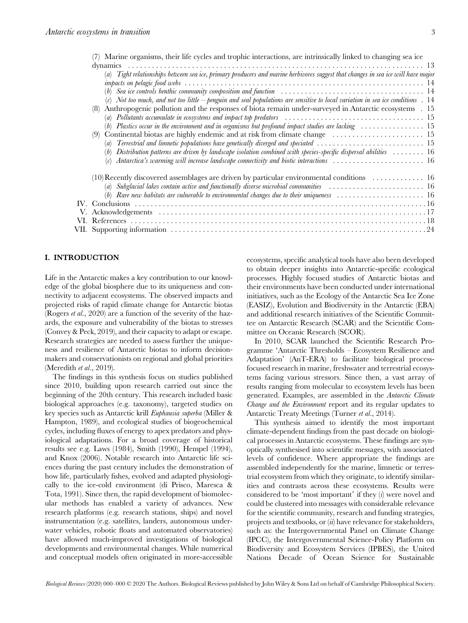| (7) Marine organisms, their life cycles and trophic interactions, are intrinsically linked to changing sea ice                                 |
|------------------------------------------------------------------------------------------------------------------------------------------------|
|                                                                                                                                                |
| (a) Tight relationships between sea ice, primary producers and marine herbivores suggest that changes in sea ice will have major               |
|                                                                                                                                                |
| (b) Sea ice controls benthic community composition and function $\ldots \ldots \ldots \ldots \ldots \ldots \ldots \ldots \ldots \ldots \ldots$ |
| (c) Not too much, and not too little $-\rho$ enguin and seal populations are sensitive to local variation in sea ice conditions $\Box$ 14      |
| Anthropogenic pollution and the responses of biota remain under-surveyed in Antarctic ecosystems . 15<br>(8)                                   |
| (a) Pollutants accumulate in ecosystems and impact top predators $\dots\dots\dots\dots\dots\dots\dots\dots\dots\dots\dots\dots\dots$           |
| (b) Plastics occur in the environment and in organisms but profound impact studies are lacking  15                                             |
| (9) Continental biotas are highly endemic and at risk from climate change $\dots \dots \dots \dots \dots \dots$                                |
|                                                                                                                                                |
| Distribution patterns are driven by landscape isolation combined with species-specific dispersal abilities $\ldots \ldots \ldots 16$           |
| Antarctica's warming will increase landscape connectivity and biotic interactions  16<br>(c)                                                   |
| $(10)$ Recently discovered assemblages are driven by particular environmental conditions  16                                                   |
| (a) Subglacial lakes contain active and functionally diverse microbial communities $\ldots \ldots \ldots \ldots \ldots \ldots$                 |
| $(b)$ Rare new habitats are vulnerable to environmental changes due to their uniqueness  16                                                    |
|                                                                                                                                                |
|                                                                                                                                                |
|                                                                                                                                                |
|                                                                                                                                                |
|                                                                                                                                                |

## I. INTRODUCTION

Life in the Antarctic makes a key contribution to our knowledge of the global biosphere due to its uniqueness and connectivity to adjacent ecosystems. The observed impacts and projected risks of rapid climate change for Antarctic biotas (Rogers et al., 2020) are a function of the severity of the hazards, the exposure and vulnerability of the biotas to stresses (Convey & Peck, 2019), and their capacity to adapt or escape. Research strategies are needed to assess further the uniqueness and resilience of Antarctic biotas to inform decisionmakers and conservationists on regional and global priorities (Meredith et al., 2019).

The findings in this synthesis focus on studies published since 2010, building upon research carried out since the beginning of the 20th century. This research included basic biological approaches (e.g. taxonomy), targeted studies on key species such as Antarctic krill Euphausia superba (Miller & Hampton, 1989), and ecological studies of biogeochemical cycles, including fluxes of energy to apex predators and physiological adaptations. For a broad coverage of historical results see e.g. Laws (1984), Smith (1990), Hempel (1994), and Knox (2006). Notable research into Antarctic life sciences during the past century includes the demonstration of how life, particularly fishes, evolved and adapted physiologically to the ice-cold environment (di Prisco, Maresca & Tota, 1991). Since then, the rapid development of biomolecular methods has enabled a variety of advances. New research platforms (e.g. research stations, ships) and novel instrumentation (e.g. satellites, landers, autonomous underwater vehicles, robotic floats and automated observatories) have allowed much-improved investigations of biological developments and environmental changes. While numerical and conceptual models often originated in more-accessible

ecosystems, specific analytical tools have also been developed to obtain deeper insights into Antarctic-specific ecological processes. Highly focused studies of Antarctic biotas and their environments have been conducted under international initiatives, such as the Ecology of the Antarctic Sea Ice Zone (EASIZ), Evolution and Biodiversity in the Antarctic (EBA) and additional research initiatives of the Scientific Committee on Antarctic Research (SCAR) and the Scientific Committee on Oceanic Research (SCOR).

In 2010, SCAR launched the Scientific Research Programme 'Antarctic Thresholds – Ecosystem Resilience and Adaptation' (AnT-ERA) to facilitate biological processfocused research in marine, freshwater and terrestrial ecosystems facing various stressors. Since then, a vast array of results ranging from molecular to ecosystem levels has been generated. Examples, are assembled in the *Antarctic Climate* Change and the Environment report and its regular updates to Antarctic Treaty Meetings (Turner et al., 2014).

This synthesis aimed to identify the most important climate-dependent findings from the past decade on biological processes in Antarctic ecosystems. These findings are synoptically synthesised into scientific messages, with associated levels of confidence. Where appropriate the findings are assembled independently for the marine, limnetic or terrestrial ecosystem from which they originate, to identify similarities and contrasts across these ecosystems. Results were considered to be 'most important' if they  $(i)$  were novel and could be clustered into messages with considerable relevance for the scientific community, research and funding strategies, projects and textbooks, or  $(ii)$  have relevance for stakeholders, such as: the Intergovernmental Panel on Climate Change (IPCC), the Intergovernmental Science-Policy Platform on Biodiversity and Ecosystem Services (IPBES), the United Nations Decade of Ocean Science for Sustainable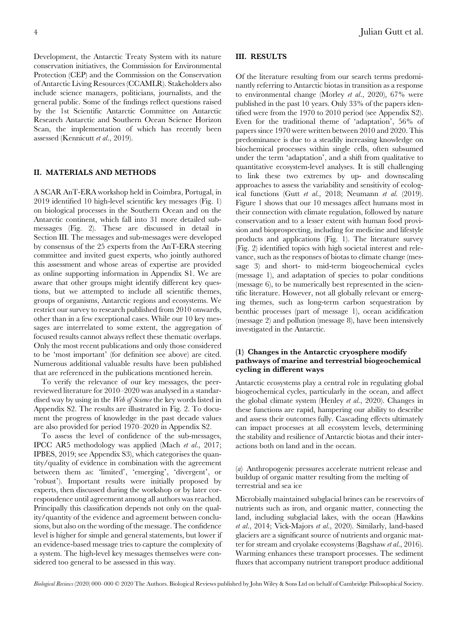Development, the Antarctic Treaty System with its nature conservation initiatives, the Commission for Environmental Protection (CEP) and the Commission on the Conservation of Antarctic Living Resources (CCAMLR). Stakeholders also include science managers, politicians, journalists, and the general public. Some of the findings reflect questions raised by the 1st Scientific Antarctic Committee on Antarctic Research Antarctic and Southern Ocean Science Horizon

Scan, the implementation of which has recently been

### II. MATERIALS AND METHODS

assessed (Kennicutt et al., 2019).

A SCAR AnT-ERA workshop held in Coimbra, Portugal, in 2019 identified 10 high-level scientific key messages (Fig. 1) on biological processes in the Southern Ocean and on the Antarctic continent, which fall into 31 more detailed submessages (Fig. 2). These are discussed in detail in Section III. The messages and sub-messages were developed by consensus of the 25 experts from the AnT-ERA steering committee and invited guest experts, who jointly authored this assessment and whose areas of expertise are provided as online supporting information in Appendix S1. We are aware that other groups might identify different key questions, but we attempted to include all scientific themes, groups of organisms, Antarctic regions and ecosystems. We restrict our survey to research published from 2010 onwards, other than in a few exceptional cases. While our 10 key messages are interrelated to some extent, the aggregation of focused results cannot always reflect these thematic overlaps. Only the most recent publications and only those considered to be 'most important' (for definition see above) are cited. Numerous additional valuable results have been published that are referenced in the publications mentioned herein.

To verify the relevance of our key messages, the peerreviewed literature for 2010–2020 was analysed in a standardised way by using in the *Web of Science* the key words listed in Appendix S2. The results are illustrated in Fig. 2. To document the progress of knowledge in the past decade values are also provided for period 1970–2020 in Appendix S2.

To assess the level of confidence of the sub-messages, IPCC AR5 methodology was applied (Mach et al., 2017; IPBES, 2019; see Appendix S3), which categorises the quantity/quality of evidence in combination with the agreement between them as: 'limited', 'emerging', 'divergent', or 'robust'). Important results were initially proposed by experts, then discussed during the workshop or by later correspondence until agreement among all authors was reached. Principally this classification depends not only on the quality/quantity of the evidence and agreement between conclusions, but also on the wording of the message. The confidence level is higher for simple and general statements, but lower if an evidence-based message tries to capture the complexity of a system. The high-level key messages themselves were considered too general to be assessed in this way.

#### III. RESULTS

Of the literature resulting from our search terms predominantly referring to Antarctic biotas in transition as a response to environmental change (Morley et al., 2020), 67% were published in the past 10 years. Only 33% of the papers identified were from the 1970 to 2010 period (see Appendix S2). Even for the traditional theme of 'adaptation', 56% of papers since 1970 were written between 2010 and 2020. This predominance is due to a steadily increasing knowledge on biochemical processes within single cells, often subsumed under the term 'adaptation', and a shift from qualitative to quantitative ecosystem-level analyses. It is still challenging to link these two extremes by up- and downscaling approaches to assess the variability and sensitivity of ecological functions (Gutt et al., 2018; Neumann et al. (2019). Figure 1 shows that our 10 messages affect humans most in their connection with climate regulation, followed by nature conservation and to a lesser extent with human food provision and bioprospecting, including for medicine and lifestyle products and applications (Fig. 1). The literature survey (Fig. 2) identified topics with high societal interest and relevance, such as the responses of biotas to climate change (message 3) and short- to mid-term biogeochemical cycles (message 1), and adaptation of species to polar conditions (message 6), to be numerically best represented in the scientific literature. However, not all globally relevant or emerging themes, such as long-term carbon sequestration by benthic processes (part of message 1), ocean acidification (message 2) and pollution (message 8), have been intensively investigated in the Antarctic.

## (1) Changes in the Antarctic cryosphere modify pathways of marine and terrestrial biogeochemical cycling in different ways

Antarctic ecosystems play a central role in regulating global biogeochemical cycles, particularly in the ocean, and affect the global climate system (Henley et al., 2020). Changes in these functions are rapid, hampering our ability to describe and assess their outcomes fully. Cascading effects ultimately can impact processes at all ecosystem levels, determining the stability and resilience of Antarctic biotas and their interactions both on land and in the ocean.

(a) Anthropogenic pressures accelerate nutrient release and buildup of organic matter resulting from the melting of terrestrial and sea ice

Microbially maintained subglacial brines can be reservoirs of nutrients such as iron, and organic matter, connecting the land, including subglacial lakes, with the ocean (Hawkins et al., 2014; Vick-Majors et al., 2020). Similarly, land-based glaciers are a significant source of nutrients and organic matter for stream and cryolake ecosystems (Bagshaw et al., 2016). Warming enhances these transport processes. The sediment fluxes that accompany nutrient transport produce additional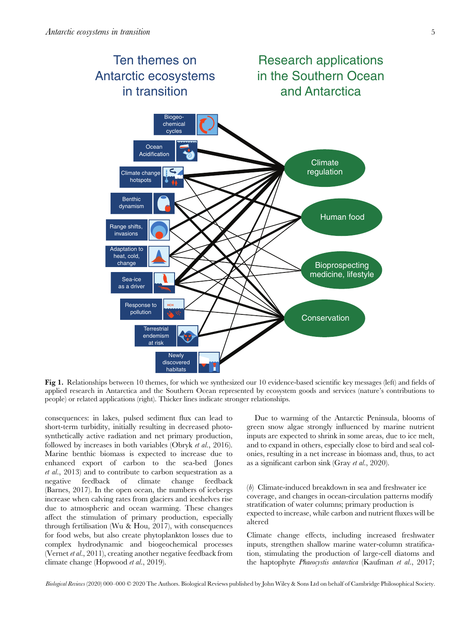

Fig 1. Relationships between 10 themes, for which we synthesized our 10 evidence-based scientific key messages (left) and fields of applied research in Antarctica and the Southern Ocean represented by ecosystem goods and services (nature's contributions to people) or related applications (right). Thicker lines indicate stronger relationships.

consequences: in lakes, pulsed sediment flux can lead to short-term turbidity, initially resulting in decreased photosynthetically active radiation and net primary production, followed by increases in both variables (Obryk et al., 2016). Marine benthic biomass is expected to increase due to enhanced export of carbon to the sea-bed (Jones et al., 2013) and to contribute to carbon sequestration as a negative feedback of climate change feedback (Barnes, 2017). In the open ocean, the numbers of icebergs increase when calving rates from glaciers and iceshelves rise due to atmospheric and ocean warming. These changes affect the stimulation of primary production, especially through fertilisation (Wu & Hou, 2017), with consequences for food webs, but also create phytoplankton losses due to complex hydrodynamic and biogeochemical processes (Vernet et al., 2011), creating another negative feedback from climate change (Hopwood et al., 2019).

Due to warming of the Antarctic Peninsula, blooms of green snow algae strongly influenced by marine nutrient inputs are expected to shrink in some areas, due to ice melt, and to expand in others, especially close to bird and seal colonies, resulting in a net increase in biomass and, thus, to act as a significant carbon sink (Gray et al., 2020).

(b) Climate-induced breakdown in sea and freshwater ice coverage, and changes in ocean-circulation patterns modify stratification of water columns; primary production is expected to increase, while carbon and nutrient fluxes will be altered

Climate change effects, including increased freshwater inputs, strengthen shallow marine water-column stratification, stimulating the production of large-cell diatoms and the haptophyte *Phaeocystis antarctica* (Kaufman et al., 2017;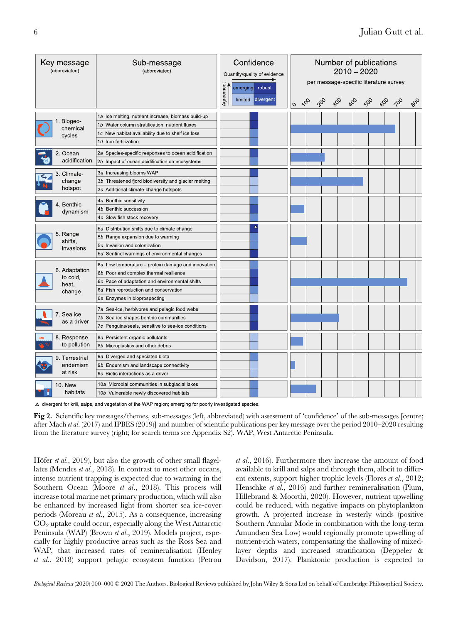| Key message<br>(abbreviated)                 | Sub-message<br>(abbreviated)                                                                                                                                                                                            | Confidence<br>Quantity/quality of evidence<br>Agreement<br>emerging robust<br>limited divergent | Number of publications<br>$2010 - 2020$<br>per message-specific literature survey<br>30 80 80 90 10<br>$\phi$<br>$\sim$<br>$\circ$ |  |  |  |  |  | DB |  |
|----------------------------------------------|-------------------------------------------------------------------------------------------------------------------------------------------------------------------------------------------------------------------------|-------------------------------------------------------------------------------------------------|------------------------------------------------------------------------------------------------------------------------------------|--|--|--|--|--|----|--|
| 1. Biogeo-<br>chemical<br>cycles             | 1a Ice melting, nutrient increase, biomass build-up<br>1b Water column stratification, nutrient fluxes<br>1c New habitat availability due to shelf ice loss<br>1d Iron fertilization                                    |                                                                                                 |                                                                                                                                    |  |  |  |  |  |    |  |
| 2. Ocean<br>acidification                    | 2a Species-specific responses to ocean acidification<br>2b Impact of ocean acidification on ecosystems                                                                                                                  |                                                                                                 |                                                                                                                                    |  |  |  |  |  |    |  |
| 3. Climate-<br>change<br>hotspot             | 3a Increasing blooms WAP<br>3b Threatened fjord biodiversity and glacier melting<br>3c Additional climate-change hotspots                                                                                               |                                                                                                 |                                                                                                                                    |  |  |  |  |  |    |  |
| 4. Benthic<br>dynamism                       | 4a Benthic sensitivity<br>4b Benthic succession<br>4c Slow fish stock recovery                                                                                                                                          |                                                                                                 |                                                                                                                                    |  |  |  |  |  |    |  |
| 5. Range<br>shifts,<br>invasions             | 5a Distribution shifts due to climate change<br>5b Range expansion due to warming<br>5c Invasion and colonization<br>5d Sentinel warnings of environmental changes                                                      |                                                                                                 |                                                                                                                                    |  |  |  |  |  |    |  |
| 6. Adaptation<br>to cold,<br>heat.<br>change | 6a Low temperature – protein damage and innovation<br>6b Poor and complex thermal resilience<br>6c Pace of adaptation and environmental shifts<br>6d Fish reproduction and conservation<br>6e Enzymes in bioprospecting |                                                                                                 |                                                                                                                                    |  |  |  |  |  |    |  |
| 7. Sea ice<br>as a driver                    | 7a Sea-ice, herbivores and pelagic food webs<br>7b Sea-ice shapes benthic communities<br>7c Penguins/seals, sensitive to sea-ice conditions                                                                             |                                                                                                 |                                                                                                                                    |  |  |  |  |  |    |  |
| 8. Response<br>to pollution                  | 8a Persistent organic pollutants<br>8b Microplastics and other debris                                                                                                                                                   |                                                                                                 |                                                                                                                                    |  |  |  |  |  |    |  |
| 9. Terrestrial<br>endemism<br>at risk        | 9a Diverged and speciated biota<br>9b Endemism and landscape connectivity<br>9c Biotic interactions as a driver                                                                                                         |                                                                                                 |                                                                                                                                    |  |  |  |  |  |    |  |
| <b>10. New</b><br>habitats                   | 10a Microbial communities in subglacial lakes<br>10b Vulnerable newly discovered habitats                                                                                                                               |                                                                                                 |                                                                                                                                    |  |  |  |  |  |    |  |

∆ divergent for krill, salps, and vegetation of the WAP region; emerging for poorly investigated species.

Fig 2. Scientific key messages/themes, sub-messages (left, abbreviated) with assessment of 'confidence' of the sub-messages [centre; after Mach et al. (2017) and IPBES (2019)] and number of scientific publications per key message over the period 2010–2020 resulting from the literature survey (right; for search terms see Appendix S2). WAP, West Antarctic Peninsula.

Höfer *et al.*, 2019), but also the growth of other small flagellates (Mendes et al., 2018). In contrast to most other oceans, intense nutrient trapping is expected due to warming in the Southern Ocean (Moore et al., 2018). This process will increase total marine net primary production, which will also be enhanced by increased light from shorter sea ice-cover periods (Moreau et al., 2015). As a consequence, increasing CO2 uptake could occur, especially along the West Antarctic Peninsula (WAP) (Brown et al., 2019). Models project, especially for highly productive areas such as the Ross Sea and WAP, that increased rates of remineralisation (Henley et al., 2018) support pelagic ecosystem function (Petrou

et al., 2016). Furthermore they increase the amount of food available to krill and salps and through them, albeit to different extents, support higher trophic levels (Flores et al., 2012; Henschke et al., 2016) and further remineralisation (Plum, Hillebrand & Moorthi, 2020). However, nutrient upwelling could be reduced, with negative impacts on phytoplankton growth. A projected increase in westerly winds (positive Southern Annular Mode in combination with the long-term Amundsen Sea Low) would regionally promote upwelling of nutrient-rich waters, compensating the shallowing of mixedlayer depths and increased stratification (Deppeler & Davidson, 2017). Planktonic production is expected to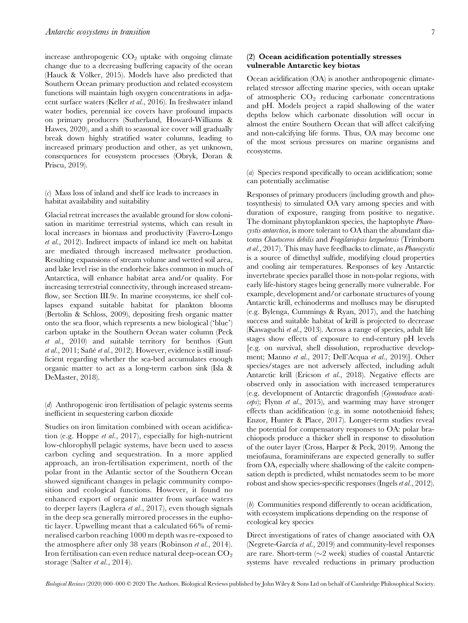increase anthropogenic  $CO<sub>2</sub>$  uptake with ongoing climate change due to a decreasing buffering capacity of the ocean (Hauck & Völker, 2015). Models have also predicted that Southern Ocean primary production and related ecosystem functions will maintain high oxygen concentrations in adjacent surface waters (Keller et al., 2016). In freshwater inland water bodies, perennial ice covers have profound impacts on primary producers (Sutherland, Howard-Williams & Hawes, 2020), and a shift to seasonal ice cover will gradually break down highly stratified water columns, leading to increased primary production and other, as yet unknown, consequences for ecosystem processes (Obryk, Doran & Priscu, 2019).

(c) Mass loss of inland and shelf ice leads to increases in habitat availability and suitability

Glacial retreat increases the available ground for slow colonisation in maritime terrestrial systems, which can result in local increases in biomass and productivity (Favero-Longo et al., 2012). Indirect impacts of inland ice melt on habitat are mediated through increased meltwater production. Resulting expansions of stream volume and wetted soil area, and lake level rise in the endorheic lakes common in much of Antarctica, will enhance habitat area and/or quality. For increasing terrestrial connectivity, through increased streamflow, see Section III.9c. In marine ecosystems, ice shelf collapses expand suitable habitat for plankton blooms (Bertolin & Schloss, 2009), depositing fresh organic matter onto the sea floor, which represents a new biological ('blue') carbon uptake in the Southern Ocean water column (Peck et al., 2010) and suitable territory for benthos (Gutt et al., 2011; Sañé et al., 2012). However, evidence is still insufficient regarding whether the sea-bed accumulates enough organic matter to act as a long-term carbon sink (Isla & DeMaster, 2018).

(d) Anthropogenic iron fertilisation of pelagic systems seems inefficient in sequestering carbon dioxide

Studies on iron limitation combined with ocean acidification (e.g. Hoppe et al., 2017), especially for high-nutrient low-chlorophyll pelagic systems, have been used to assess carbon cycling and sequestration. In a more applied approach, an iron-fertilisation experiment, north of the polar front in the Atlantic sector of the Southern Ocean showed significant changes in pelagic community composition and ecological functions. However, it found no enhanced export of organic matter from surface waters to deeper layers (Laglera et al., 2017), even though signals in the deep sea generally mirrored processes in the euphotic layer. Upwelling meant that a calculated 66% of remineralised carbon reaching 1000 m depth was re-exposed to the atmosphere after only 38 years (Robinson et al., 2014). Iron fertilisation can even reduce natural deep-ocean  $CO<sub>2</sub>$ storage (Salter et al., 2014).

## (2) Ocean acidification potentially stresses vulnerable Antarctic key biotas

Ocean acidification (OA) is another anthropogenic climaterelated stressor affecting marine species, with ocean uptake of atmospheric  $CO<sub>2</sub>$  reducing carbonate concentrations and pH. Models project a rapid shallowing of the water depths below which carbonate dissolution will occur in almost the entire Southern Ocean that will affect calcifying and non-calcifying life forms. Thus, OA may become one of the most serious pressures on marine organisms and ecosystems.

(a) Species respond specifically to ocean acidification; some can potentially acclimatise

Responses of primary producers (including growth and photosynthesis) to simulated OA vary among species and with duration of exposure, ranging from positive to negative. The dominant phytoplankton species, the haptophyte Phaeocystis antarctica, is more tolerant to OA than the abundant diatoms Chaetoceros debilis and Fragilariopsis kerguelensis (Trimborn et al., 2017). This may have feedbacks to climate, as Phaeocystis is a source of dimethyl sulfide, modifying cloud properties and cooling air temperatures. Responses of key Antarctic invertebrate species parallel those in non-polar regions, with early life-history stages being generally more vulnerable. For example, development and/or carbonate structures of young Antarctic krill, echinoderms and molluscs may be disrupted (e.g. Bylenga, Cummings & Ryan, 2017), and the hatching success and suitable habitat of krill is projected to decrease (Kawaguchi et al., 2013). Across a range of species, adult life stages show effects of exposure to end-century pH levels [e.g. on survival, shell dissolution, reproductive development; Manno et al., 2017; Dell'Acqua et al., 2019)]. Other species/stages are not adversely affected, including adult Antarctic krill (Ericson et al., 2018). Negative effects are observed only in association with increased temperatures (e.g. development of Antarctic dragonfish (Gymnodraco acuticeps); Flynn et al., 2015), and warming may have stronger effects than acidification (e.g. in some notothenioid fishes; Enzor, Hunter & Place, 2017). Longer-term studies reveal the potential for compensatory responses to OA: polar brachiopods produce a thicker shell in response to dissolution of the outer layer (Cross, Harper & Peck, 2019). Among the meiofauna, foraminiferans are expected generally to suffer from OA, especially where shallowing of the calcite compensation depth is predicted, whilst nematodes seem to be more robust and show species-specific responses (Ingels et al., 2012).

(b) Communities respond differently to ocean acidification, with ecosystem implications depending on the response of ecological key species

Direct investigations of rates of change associated with OA (Negrete-García et al., 2019) and community-level responses are rare. Short-term  $(\sim 2$  week) studies of coastal Antarctic systems have revealed reductions in primary production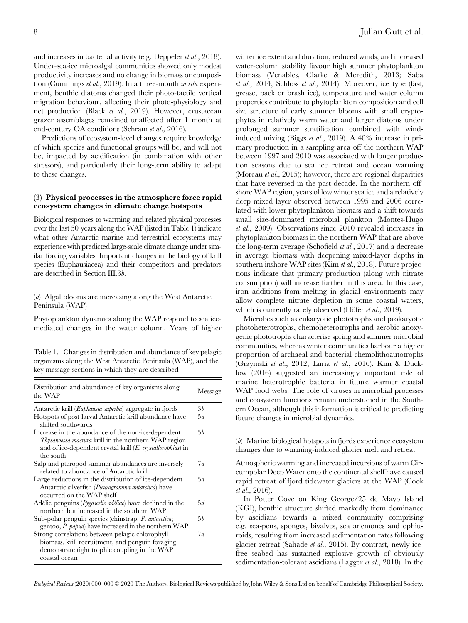and increases in bacterial activity (e.g. Deppeler et al., 2018). Under-sea-ice microalgal communities showed only modest productivity increases and no change in biomass or composition (Cummings et al., 2019). In a three-month in situ experiment, benthic diatoms changed their photo-tactile vertical migration behaviour, affecting their photo-physiology and net production (Black et al., 2019). However, crustacean grazer assemblages remained unaffected after 1 month at end-century OA conditions (Schram et al., 2016).

Predictions of ecosystem-level changes require knowledge of which species and functional groups will be, and will not be, impacted by acidification (in combination with other stressors), and particularly their long-term ability to adapt to these changes.

## (3) Physical processes in the atmosphere force rapid ecosystem changes in climate change hotspots

Biological responses to warming and related physical processes over the last 50 years along the WAP (listed in Table 1) indicate what other Antarctic marine and terrestrial ecosystems may experience with predicted large-scale climate change under similar forcing variables. Important changes in the biology of krill species (Euphausiacea) and their competitors and predators are described in Section III.3b.

## (a) Algal blooms are increasing along the West Antarctic Peninsula (WAP)

Phytoplankton dynamics along the WAP respond to sea icemediated changes in the water column. Years of higher

Table 1. Changes in distribution and abundance of key pelagic organisms along the West Antarctic Peninsula (WAP), and the key message sections in which they are described

| Distribution and abundance of key organisms along<br>the WAP                                                                                                                             | Message    |  |  |
|------------------------------------------------------------------------------------------------------------------------------------------------------------------------------------------|------------|--|--|
| Antarctic krill ( <i>Euphausia superba</i> ) aggregate in fjords                                                                                                                         | 3b         |  |  |
| Hotspots of post-larval Antarctic krill abundance have<br>shifted southwards                                                                                                             | 5a         |  |  |
| Increase in the abundance of the non-ice-dependent<br>Thysanoessa macrura krill in the northern WAP region<br>and of ice-dependent crystal krill $(E.$ crystallorophias) in<br>the south | 5 <i>b</i> |  |  |
| Salp and pteropod summer abundances are inversely<br>related to abundance of Antarctic krill                                                                                             | 7a         |  |  |
| Large reductions in the distribution of ice-dependent<br>Antarctic silverfish ( <i>Pleuragramma antarctica</i> ) have<br>occurred on the WAP shelf                                       | 5a         |  |  |
| Adélie penguins ( <i>Pygoscelis adéliae</i> ) have declined in the<br>northern but increased in the southern WAP                                                                         | 5d         |  |  |
| Sub-polar penguin species (chinstrap, P. antarctica;<br>gentoo, P. papua) have increased in the northern WAP                                                                             | 5b         |  |  |
| Strong correlations between pelagic chlorophyll<br>biomass, krill recruitment, and penguin foraging<br>demonstrate tight trophic coupling in the WAP<br>coastal ocean                    | 7a         |  |  |

winter ice extent and duration, reduced winds, and increased water-column stability favour high summer phytoplankton biomass (Venables, Clarke & Meredith, 2013; Saba et al., 2014; Schloss et al., 2014). Moreover, ice type (fast, grease, pack or brash ice), temperature and water column properties contribute to phytoplankton composition and cell size structure of early summer blooms with small cryptophytes in relatively warm water and larger diatoms under prolonged summer stratification combined with windinduced mixing (Biggs et al., 2019). A 40% increase in primary production in a sampling area off the northern WAP between 1997 and 2010 was associated with longer production seasons due to sea ice retreat and ocean warming (Moreau *et al.*, 2015); however, there are regional disparities that have reversed in the past decade. In the northern offshore WAP region, years of low winter sea ice and a relatively deep mixed layer observed between 1995 and 2006 correlated with lower phytoplankton biomass and a shift towards small size-dominated microbial plankton (Montes-Hugo et al., 2009). Observations since 2010 revealed increases in phytoplankton biomass in the northern WAP that are above the long-term average (Schofield et al., 2017) and a decrease in average biomass with deepening mixed-layer depths in southern inshore WAP sites (Kim et al., 2018). Future projections indicate that primary production (along with nitrate consumption) will increase further in this area. In this case, iron additions from melting in glacial environments may allow complete nitrate depletion in some coastal waters, which is currently rarely observed (Höfer et al., 2019).

Microbes such as eukaryotic phototrophs and prokaryotic photoheterotrophs, chemoheterotrophs and aerobic anoxygenic phototrophs characterise spring and summer microbial communities, whereas winter communities harbour a higher proportion of archaeal and bacterial chemolithoautotrophs (Grzymski et al., 2012; Luria et al., 2016). Kim & Ducklow (2016) suggested an increasingly important role of marine heterotrophic bacteria in future warmer coastal WAP food webs. The role of viruses in microbial processes and ecosystem functions remain understudied in the Southern Ocean, although this information is critical to predicting future changes in microbial dynamics.

(b) Marine biological hotspots in fjords experience ecosystem changes due to warming-induced glacier melt and retreat

Atmospheric warming and increased incursions of warm Circumpolar Deep Water onto the continental shelf have caused rapid retreat of fjord tidewater glaciers at the WAP (Cook et al., 2016).

In Potter Cove on King George/25 de Mayo Island (KGI), benthic structure shifted markedly from dominance by ascidians towards a mixed community comprising e.g. sea-pens, sponges, bivalves, sea anemones and ophiuroids, resulting from increased sedimentation rates following glacier retreat (Sahade et al., 2015). By contrast, newly icefree seabed has sustained explosive growth of obviously sedimentation-tolerant ascidians (Lagger *et al.*, 2018). In the

Biological Reviews (2020) 000-000 © 2020 The Authors. Biological Reviews published by John Wiley & Sons Ltd on behalf of Cambridge Philosophical Society.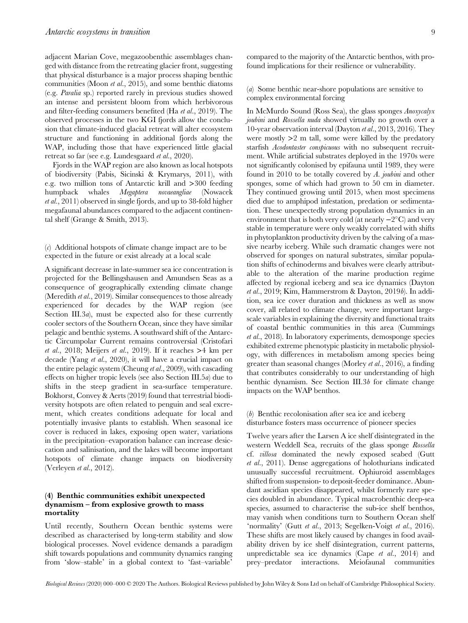adjacent Marian Cove, megazoobenthic assemblages changed with distance from the retreating glacier front, suggesting that physical disturbance is a major process shaping benthic communities (Moon et al., 2015), and some benthic diatoms (e.g. Paralia sp.) reported rarely in previous studies showed an intense and persistent bloom from which herbivorous and filter-feeding consumers benefited (Ha et al., 2019). The observed processes in the two KGI fjords allow the conclusion that climate-induced glacial retreat will alter ecosystem structure and functioning in additional fjords along the WAP, including those that have experienced little glacial retreat so far (see e.g. Lundesgaard et al., 2020).

Fjords in the WAP region are also known as local hotspots of biodiversity (Pabis, Sicinski & Krymarys, 2011), with e.g. two million tons of Antarctic krill and >300 feeding humpback whales Megaptera novaeangliae (Nowacek et al., 2011) observed in single fjords, and up to 38-fold higher megafaunal abundances compared to the adjacent continental shelf (Grange & Smith, 2013).

(c) Additional hotspots of climate change impact are to be expected in the future or exist already at a local scale

A significant decrease in late-summer sea ice concentration is projected for the Bellingshausen and Amundsen Seas as a consequence of geographically extending climate change (Meredith *et al.*, 2019). Similar consequences to those already experienced for decades by the WAP region (see Section III.3*a*), must be expected also for these currently cooler sectors of the Southern Ocean, since they have similar pelagic and benthic systems. A southward shift of the Antarctic Circumpolar Current remains controversial (Cristofari et al., 2018; Meijers et al., 2019). If it reaches  $>4$  km per decade (Yang et al., 2020), it will have a crucial impact on the entire pelagic system (Cheung *et al.*, 2009), with cascading effects on higher tropic levels (see also Section III.5a) due to shifts in the steep gradient in sea-surface temperature. Bokhorst, Convey & Aerts (2019) found that terrestrial biodiversity hotspots are often related to penguin and seal excrement, which creates conditions adequate for local and potentially invasive plants to establish. When seasonal ice cover is reduced in lakes, exposing open water, variations in the precipitation–evaporation balance can increase desiccation and salinisation, and the lakes will become important hotspots of climate change impacts on biodiversity (Verleyen et al., 2012).

## (4) Benthic communities exhibit unexpected dynamism – from explosive growth to mass mortality

Until recently, Southern Ocean benthic systems were described as characterised by long-term stability and slow biological processes. Novel evidence demands a paradigm shift towards populations and community dynamics ranging from 'slow–stable' in a global context to 'fast–variable'

compared to the majority of the Antarctic benthos, with profound implications for their resilience or vulnerability.

(a) Some benthic near-shore populations are sensitive to complex environmental forcing

In McMurdo Sound (Ross Sea), the glass sponges Anoxycalyx joubini and Rossella nuda showed virtually no growth over a 10-year observation interval (Dayton et al., 2013, 2016). They were mostly  $>2$  m tall, some were killed by the predatory starfish *Acodontaster conspicuous* with no subsequent recruitment. While artificial substrates deployed in the 1970s were not significantly colonised by epifauna until 1989, they were found in 2010 to be totally covered by A. joubini and other sponges, some of which had grown to 50 cm in diameter. They continued growing until 2015, when most specimens died due to amphipod infestation, predation or sedimentation. These unexpectedly strong population dynamics in an environment that is both very cold (at nearly  $-2^{\circ}C$ ) and very stable in temperature were only weakly correlated with shifts in phytoplankton productivity driven by the calving of a massive nearby iceberg. While such dramatic changes were not observed for sponges on natural substrates, similar population shifts of echinoderms and bivalves were clearly attributable to the alteration of the marine production regime affected by regional iceberg and sea ice dynamics (Dayton et al., 2019; Kim, Hammerstrom & Dayton, 2019b). In addition, sea ice cover duration and thickness as well as snow cover, all related to climate change, were important largescale variables in explaining the diversity and functional traits of coastal benthic communities in this area (Cummings et al., 2018). In laboratory experiments, demosponge species exhibited extreme phenotypic plasticity in metabolic physiology, with differences in metabolism among species being greater than seasonal changes (Morley et al., 2016), a finding that contributes considerably to our understanding of high benthic dynamism. See Section III.3b for climate change impacts on the WAP benthos.

## (b) Benthic recolonisation after sea ice and iceberg disturbance fosters mass occurrence of pioneer species

Twelve years after the Larsen A ice shelf disintegrated in the western Weddell Sea, recruits of the glass sponge Rossella cf. villosa dominated the newly exposed seabed (Gutt et al., 2011). Dense aggregations of holothurians indicated unusually successful recruitment. Ophiuroid assemblages shifted from suspension- to deposit-feeder dominance. Abundant ascidian species disappeared, whilst formerly rare species doubled in abundance. Typical macrobenthic deep-sea species, assumed to characterise the sub-ice shelf benthos, may vanish when conditions turn to Southern Ocean shelf 'normality' (Gutt et al., 2013; Segelken-Voigt et al., 2016). These shifts are most likely caused by changes in food availability driven by ice shelf disintegration, current patterns, unpredictable sea ice dynamics (Cape et al., 2014) and prey–predator interactions. Meiofaunal communities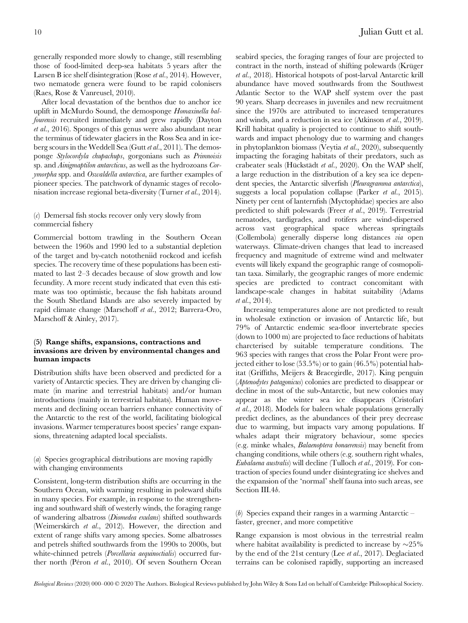generally responded more slowly to change, still resembling those of food-limited deep-sea habitats 5 years after the Larsen B ice shelf disintegration (Rose et al., 2014). However, two nematode genera were found to be rapid colonisers (Raes, Rose & Vanreusel, 2010).

After local devastation of the benthos due to anchor ice uplift in McMurdo Sound, the demosponge Homaxinella balfourensis recruited immediately and grew rapidly (Dayton et al., 2016). Sponges of this genus were also abundant near the terminus of tidewater glaciers in the Ross Sea and in iceberg scours in the Weddell Sea (Gutt et al., 2011). The demosponge Stylocordyla chupachups, gorgonians such as Primnoisis sp. and Ainigmaptilon antarcticus, as well as the hydrozoans Corymorpha spp. and Oswaldella antarctica, are further examples of pioneer species. The patchwork of dynamic stages of recolonisation increase regional beta-diversity (Turner et al., 2014).

## (c) Demersal fish stocks recover only very slowly from commercial fishery

Commercial bottom trawling in the Southern Ocean between the 1960s and 1990 led to a substantial depletion of the target and by-catch nototheniid rockcod and icefish species. The recovery time of these populations has been estimated to last 2–3 decades because of slow growth and low fecundity. A more recent study indicated that even this estimate was too optimistic, because the fish habitats around the South Shetland Islands are also severely impacted by rapid climate change (Marschoff et al., 2012; Barrera-Oro, Marschoff & Ainley, 2017).

## (5) Range shifts, expansions, contractions and invasions are driven by environmental changes and human impacts

Distribution shifts have been observed and predicted for a variety of Antarctic species. They are driven by changing climate (in marine and terrestrial habitats) and/or human introductions (mainly in terrestrial habitats). Human movements and declining ocean barriers enhance connectivity of the Antarctic to the rest of the world, facilitating biological invasions. Warmer temperatures boost species' range expansions, threatening adapted local specialists.

## (a) Species geographical distributions are moving rapidly with changing environments

Consistent, long-term distribution shifts are occurring in the Southern Ocean, with warming resulting in poleward shifts in many species. For example, in response to the strengthening and southward shift of westerly winds, the foraging range of wandering albatross (Diomedea exulans) shifted southwards (Weimerskirch et al., 2012). However, the direction and extent of range shifts vary among species. Some albatrosses and petrels shifted southwards from the 1990s to 2000s, but white-chinned petrels (*Porcellaria aequinoctialis*) occurred further north (Péron et al., 2010). Of seven Southern Ocean

seabird species, the foraging ranges of four are projected to contract in the north, instead of shifting polewards (Krüger et al., 2018). Historical hotspots of post-larval Antarctic krill abundance have moved southwards from the Southwest Atlantic Sector to the WAP shelf system over the past 90 years. Sharp decreases in juveniles and new recruitment since the 1970s are attributed to increased temperatures and winds, and a reduction in sea ice (Atkinson et al., 2019). Krill habitat quality is projected to continue to shift southwards and impact phenology due to warming and changes in phytoplankton biomass (Veytia et al., 2020), subsequently impacting the foraging habitats of their predators, such as crabeater seals (Hückstädt et al., 2020). On the WAP shelf, a large reduction in the distribution of a key sea ice dependent species, the Antarctic silverfish (Pleuragramma antarctica), suggests a local population collapse (Parker et al., 2015). Ninety per cent of lanternfish (Myctophidae) species are also predicted to shift polewards (Freer et al., 2019). Terrestrial nematodes, tardigrades, and rotifers are wind-dispersed across vast geographical space whereas springtails (Collembola) generally disperse long distances via open waterways. Climate-driven changes that lead to increased frequency and magnitude of extreme wind and meltwater events will likely expand the geographic range of cosmopolitan taxa. Similarly, the geographic ranges of more endemic species are predicted to contract concomitant with landscape-scale changes in habitat suitability (Adams et al., 2014).

Increasing temperatures alone are not predicted to result in wholesale extinction or invasion of Antarctic life, but 79% of Antarctic endemic sea-floor invertebrate species (down to 1000 m) are projected to face reductions of habitats charcterised by suitable temperature conditions. The 963 species with ranges that cross the Polar Front were projected either to lose (53.5%) or to gain (46.5%) potential habitat (Griffiths, Meijers & Bracegirdle, 2017). King penguin (Aptenodytes patagonicus) colonies are predicted to disappear or decline in most of the sub-Antarctic, but new colonies may appear as the winter sea ice disappears (Cristofari et al., 2018). Models for baleen whale populations generally predict declines, as the abundances of their prey decrease due to warming, but impacts vary among populations. If whales adapt their migratory behaviour, some species (e.g. minke whales, Balaenoptera bonaerensis) may benefit from changing conditions, while others (e.g. southern right whales, Eubalaena australis) will decline (Tulloch et al., 2019). For contraction of species found under disintegrating ice shelves and the expansion of the 'normal' shelf fauna into such areas, see Section III.4b.

(b) Species expand their ranges in a warming Antarctic  $$ faster, greener, and more competitive

Range expansion is most obvious in the terrestrial realm where habitat availability is predicted to increase by  $\sim$ 25% by the end of the 21st century (Lee et al., 2017). Deglaciated terrains can be colonised rapidly, supporting an increased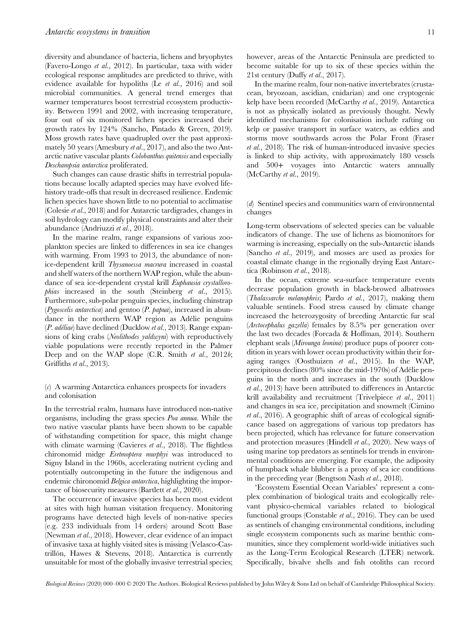diversity and abundance of bacteria, lichens and bryophytes (Favero-Longo et al., 2012). In particular, taxa with wider ecological response amplitudes are predicted to thrive, with evidence available for hypoliths (Le et al., 2016) and soil microbial communities. A general trend emerges that warmer temperatures boost terrestrial ecosystem productivity. Between 1991 and 2002, with increasing temperature, four out of six monitored lichen species increased their growth rates by 124% (Sancho, Pintado & Green, 2019). Moss growth rates have quadrupled over the past approximately 50 years (Amesbury et al., 2017), and also the two Antarctic native vascular plants Colobanthus quitensis and especially Deschampsia antarctica proliferated.

Such changes can cause drastic shifts in terrestrial populations because locally adapted species may have evolved lifehistory trade-offs that result in decreased resilience. Endemic lichen species have shown little to no potential to acclimatise (Colesie et al., 2018) and for Antarctic tardigrades, changes in soil hydrology can modify physical constraints and alter their abundance (Andriuzzi et al., 2018).

In the marine realm, range expansions of various zooplankton species are linked to differences in sea ice changes with warming. From 1993 to 2013, the abundance of nonice-dependent krill Thysanoessa macrura increased in coastal and shelf waters of the northern WAP region, while the abundance of sea ice-dependent crystal krill Euphausia crystallorophias increased in the south (Steinberg et al., 2015). Furthermore, sub-polar penguin species, including chinstrap (Pygoscelis antarctica) and gentoo (P. papua), increased in abundance in the northern WAP region as Adélie penguins (P. adéliae) have declined (Ducklow et al., 2013). Range expansions of king crabs (Neolithodes yaldwyni) with reproductively viable populations were recently reported in the Palmer Deep and on the WAP slope (C.R. Smith *et al.*, 2012*b*; Griffiths et al., 2013).

## (c) A warming Antarctica enhances prospects for invaders and colonisation

In the terrestrial realm, humans have introduced non-native organisms, including the grass species Poa annua. While the two native vascular plants have been shown to be capable of withstanding competition for space, this might change with climate warming (Cavieres et al., 2018). The flightless chironomid midge Eretmoptera murphyi was introduced to Signy Island in the 1960s, accelerating nutrient cycling and potentially outcompeting in the future the indigenous and endemic chironomid Belgica antarctica, highlighting the importance of biosecurity measures (Bartlett et al., 2020).

The occurrence of invasive species has been most evident at sites with high human visitation frequency. Monitoring programs have detected high levels of non-native species (e.g. 233 individuals from 14 orders) around Scott Base (Newman et al., 2018). However, clear evidence of an impact of invasive taxa at highly visited sites is missing (Velasco-Castrillón, Hawes & Stevens, 2018). Antarctica is currently unsuitable for most of the globally invasive terrestrial species;

however, areas of the Antarctic Peninsula are predicted to become suitable for up to six of these species within the 21st century (Duffy et al., 2017).

In the marine realm, four non-native invertebrates (crustacean, bryozoan, ascidian, cnidarian) and one cryptogenic kelp have been recorded (McCarthy et al., 2019). Antarctica is not as physically isolated as previously thought. Newly identified mechanisms for colonisation include rafting on kelp or passive transport in surface waters, as eddies and storms move southwards across the Polar Front (Fraser et al., 2018). The risk of human-introduced invasive species is linked to ship activity, with approximately 180 vessels and 500+ voyages into Antarctic waters annually (McCarthy et al., 2019).

#### (d) Sentinel species and communities warn of environmental changes

Long-term observations of selected species can be valuable indicators of change. The use of lichens as biomonitors for warming is increasing, especially on the sub-Antarctic islands (Sancho et al., 2019), and mosses are used as proxies for coastal climate change in the regionally drying East Antarctica (Robinson et al., 2018).

In the ocean, extreme sea-surface temperature events decrease population growth in black-browed albatrosses (Thalassarche melanophris; Pardo et al., 2017), making them valuable sentinels. Food stress caused by climate change increased the heterozygosity of breeding Antarctic fur seal (Arctocephalus gazella) females by 8.5% per generation over the last two decades (Forcada & Hoffman, 2014). Southern elephant seals (Mirounga leonina) produce pups of poorer condition in years with lower ocean productivity within their foraging ranges (Oosthuizen et al., 2015). In the WAP, precipitous declines (80% since the mid-1970s) of Adélie penguins in the north and increases in the south (Ducklow et al., 2013) have been attributed to differences in Antarctic krill availability and recruitment (Trivelpiece et al., 2011) and changes in sea ice, precipitation and snowmelt (Cimino et al., 2016). A geographic shift of areas of ecological significance based on aggregations of various top predators has been projected, which has relevance for future conservation and protection measures (Hindell et al., 2020). New ways of using marine top predators as sentinels for trends in environmental conditions are emerging. For example, the adiposity of humpback whale blubber is a proxy of sea ice conditions in the preceding year (Bengtson Nash et al., 2018).

'Ecosystem Essential Ocean Variables' represent a complex combination of biological traits and ecologically relevant physico-chemical variables related to biological functional groups (Constable et al., 2016). They can be used as sentinels of changing environmental conditions, including single ecosystem components such as marine benthic communities, since they complement world-wide initiatives such as the Long-Term Ecological Research (LTER) network. Specifically, bivalve shells and fish otoliths can record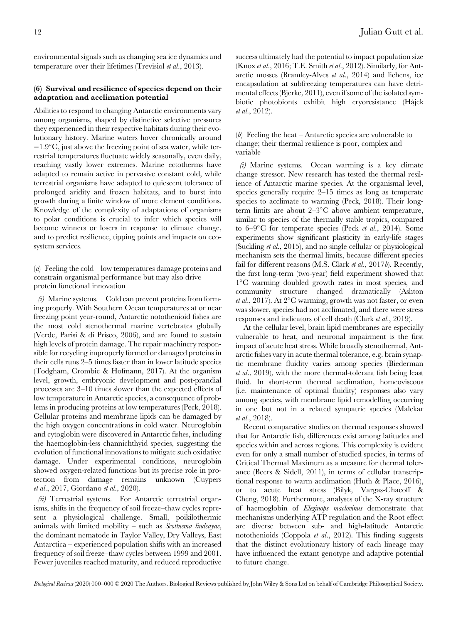environmental signals such as changing sea ice dynamics and temperature over their lifetimes (Trevisiol et al., 2013).

# (6) Survival and resilience of species depend on their adaptation and acclimation potential

Abilities to respond to changing Antarctic environments vary among organisms, shaped by distinctive selective pressures they experienced in their respective habitats during their evolutionary history. Marine waters hover chronically around −1.9C, just above the freezing point of sea water, while terrestrial temperatures fluctuate widely seasonally, even daily, reaching vastly lower extremes. Marine ectotherms have adapted to remain active in pervasive constant cold, while terrestrial organisms have adapted to quiescent tolerance of prolonged aridity and frozen habitats, and to burst into growth during a finite window of more clement conditions. Knowledge of the complexity of adaptations of organisms to polar conditions is crucial to infer which species will become winners or losers in response to climate change, and to predict resilience, tipping points and impacts on ecosystem services.

(a) Feeling the cold – low temperatures damage proteins and constrain organismal performance but may also drive protein functional innovation

(i) Marine systems. Cold can prevent proteins from forming properly. With Southern Ocean temperatures at or near freezing point year-round, Antarctic notothenioid fishes are the most cold stenothermal marine vertebrates globally (Verde, Parisi & di Prisco, 2006), and are found to sustain high levels of protein damage. The repair machinery responsible for recycling improperly formed or damaged proteins in their cells runs 2–5 times faster than in lower latitude species (Todgham, Crombie & Hofmann, 2017). At the organism level, growth, embryonic development and post-prandial processes are 3–10 times slower than the expected effects of low temperature in Antarctic species, a consequence of problems in producing proteins at low temperatures (Peck, 2018). Cellular proteins and membrane lipids can be damaged by the high oxygen concentrations in cold water. Neuroglobin and cytoglobin were discovered in Antarctic fishes, including the haemoglobin-less channichthyid species, suggesting the evolution of functional innovations to mitigate such oxidative damage. Under experimental conditions, neuroglobin showed oxygen-related functions but its precise role in protection from damage remains unknown (Cuypers et al., 2017, Giordano et al., 2020).

(ii) Terrestrial systems. For Antarctic terrestrial organisms, shifts in the frequency of soil freeze–thaw cycles represent a physiological challenge. Small, poikilothermic animals with limited mobility – such as  $S$ cottnema lindsayae, the dominant nematode in Taylor Valley, Dry Valleys, East Antarctica – experienced population shifts with an increased frequency of soil freeze–thaw cycles between 1999 and 2001. Fewer juveniles reached maturity, and reduced reproductive

success ultimately had the potential to impact population size (Knox et al., 2016; T.E. Smith et al., 2012). Similarly, for Antarctic mosses (Bramley-Alves et al., 2014) and lichens, ice encapsulation at subfreezing temperatures can have detrimental effects (Bjerke, 2011), even if some of the isolated symbiotic photobionts exhibit high cryoresistance (Hájek et al., 2012).

# (b) Feeling the heat – Antarctic species are vulnerable to change; their thermal resilience is poor, complex and variable

(i) Marine systems. Ocean warming is a key climate change stressor. New research has tested the thermal resilience of Antarctic marine species. At the organismal level, species generally require 2–15 times as long as temperate species to acclimate to warming (Peck, 2018). Their longterm limits are about  $2-3$ °C above ambient temperature, similar to species of the thermally stable tropics, compared to  $6-9^{\circ}$ C for temperate species (Peck *et al.*, 2014). Some experiments show significant plasticity in early-life stages (Suckling et al., 2015), and no single cellular or physiological mechanism sets the thermal limits, because different species fail for different reasons (M.S. Clark et al., 2017b). Recently, the first long-term (two-year) field experiment showed that 1C warming doubled growth rates in most species, and community structure changed dramatically (Ashton et al., 2017). At  $2^{\circ}$ C warming, growth was not faster, or even was slower, species had not acclimated, and there were stress responses and indicators of cell death (Clark et al., 2019).

At the cellular level, brain lipid membranes are especially vulnerable to heat, and neuronal impairment is the first impact of acute heat stress. While broadly stenothermal, Antarctic fishes vary in acute thermal tolerance, e.g. brain synaptic membrane fluidity varies among species (Biederman et al., 2019), with the more thermal-tolerant fish being least fluid. In short-term thermal acclimation, homeoviscous (i.e. maintenance of optimal fluidity) responses also vary among species, with membrane lipid remodelling occurring in one but not in a related sympatric species (Malekar et al., 2018).

Recent comparative studies on thermal responses showed that for Antarctic fish, differences exist among latitudes and species within and across regions. This complexity is evident even for only a small number of studied species, in terms of Critical Thermal Maximum as a measure for thermal tolerance (Beers & Sidell, 2011), in terms of cellular transcriptional response to warm acclimation (Huth & Place, 2016), or to acute heat stress (Bilyk, Vargas-Chacoff & Cheng, 2018). Furthermore, analyses of the X-ray structure of haemoglobin of Eleginops maclovinus demonstrate that mechanisms underlying ATP regulation and the Root effect are diverse between sub- and high-latitude Antarctic notothenioids (Coppola et al., 2012). This finding suggests that the distinct evolutionary history of each lineage may have influenced the extant genotype and adaptive potential to future change.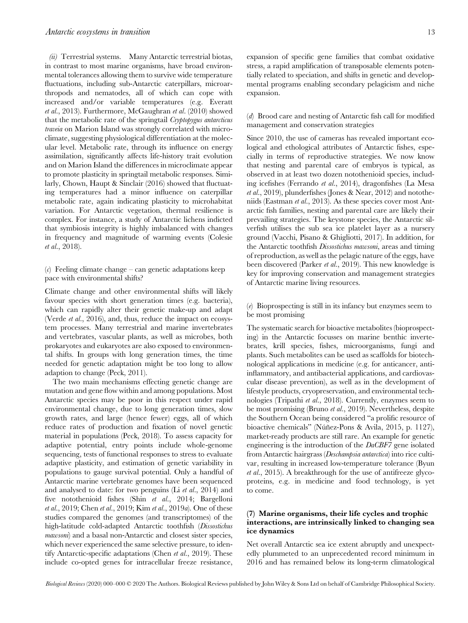(ii) Terrestrial systems. Many Antarctic terrestrial biotas, in contrast to most marine organisms, have broad environmental tolerances allowing them to survive wide temperature fluctuations, including sub-Antarctic caterpillars, microarthropods and nematodes, all of which can cope with increased and/or variable temperatures (e.g. Everatt et al., 2013). Furthermore, McGaughran et al. (2010) showed that the metabolic rate of the springtail Cryptopygus antarcticus traveia on Marion Island was strongly correlated with microclimate, suggesting physiological differentiation at the molecular level. Metabolic rate, through its influence on energy assimilation, significantly affects life-history trait evolution and on Marion Island the differences in microclimate appear to promote plasticity in springtail metabolic responses. Similarly, Chown, Haupt & Sinclair (2016) showed that fluctuating temperatures had a minor influence on caterpillar metabolic rate, again indicating plasticity to microhabitat variation. For Antarctic vegetation, thermal resilience is complex. For instance, a study of Antarctic lichens indicted that symbiosis integrity is highly imbalanced with changes in frequency and magnitude of warming events (Colesie et al., 2018).

(c) Feeling climate change – can genetic adaptations keep pace with environmental shifts?

Climate change and other environmental shifts will likely favour species with short generation times (e.g. bacteria), which can rapidly alter their genetic make-up and adapt (Verde et al., 2016), and, thus, reduce the impact on ecosystem processes. Many terrestrial and marine invertebrates and vertebrates, vascular plants, as well as microbes, both prokaryotes and eukaryotes are also exposed to environmental shifts. In groups with long generation times, the time needed for genetic adaptation might be too long to allow adaption to change (Peck, 2011).

The two main mechanisms effecting genetic change are mutation and gene flow within and among populations. Most Antarctic species may be poor in this respect under rapid environmental change, due to long generation times, slow growth rates, and large (hence fewer) eggs, all of which reduce rates of production and fixation of novel genetic material in populations (Peck, 2018). To assess capacity for adaptive potential, entry points include whole-genome sequencing, tests of functional responses to stress to evaluate adaptive plasticity, and estimation of genetic variability in populations to gauge survival potential. Only a handful of Antarctic marine vertebrate genomes have been sequenced and analysed to date: for two penguins (Li et al., 2014) and five notothenioid fishes (Shin et al., 2014; Bargelloni et al., 2019; Chen et al., 2019; Kim et al., 2019a). One of these studies compared the genomes (and transcriptomes) of the high-latitude cold-adapted Antarctic toothfish (Dissostichus mawsoni) and a basal non-Antarctic and closest sister species, which never experienced the same selective pressure, to identify Antarctic-specific adaptations (Chen et al., 2019). These include co-opted genes for intracellular freeze resistance,

expansion of specific gene families that combat oxidative stress, a rapid amplification of transposable elements potentially related to speciation, and shifts in genetic and developmental programs enabling secondary pelagicism and niche expansion.

## (d) Brood care and nesting of Antarctic fish call for modified management and conservation strategies

Since 2010, the use of cameras has revealed important ecological and ethological attributes of Antarctic fishes, especially in terms of reproductive strategies. We now know that nesting and parental care of embryos is typical, as observed in at least two dozen notothenioid species, including icefishes (Ferrando et al., 2014), dragonfishes (La Mesa et al., 2019), plunderfishes (Jones & Near, 2012) and nototheniids (Eastman et al., 2013). As these species cover most Antarctic fish families, nesting and parental care are likely their prevailing strategies. The keystone species, the Antarctic silverfish utilises the sub sea ice platelet layer as a nursery ground (Vacchi, Pisano & Ghigliotti, 2017). In addition, for the Antarctic toothfish Dissostichus mawsoni, areas and timing of reproduction, as well as the pelagic nature of the eggs, have been discovered (Parker et al., 2019). This new knowledge is key for improving conservation and management strategies of Antarctic marine living resources.

(e) Bioprospecting is still in its infancy but enzymes seem to be most promising

The systematic search for bioactive metabolites (bioprospecting) in the Antarctic focusses on marine benthic invertebrates, krill species, fishes, microorganisms, fungi and plants. Such metabolites can be used as scaffolds for biotechnological applications in medicine (e.g. for anticancer, antiinflammatory, and antibacterial applications, and cardiovascular disease prevention), as well as in the development of lifestyle products, cryopreservation, and environmental technologies (Tripathi et al., 2018). Currently, enzymes seem to be most promising (Bruno et al., 2019). Nevertheless, despite the Southern Ocean being considered "a prolific resource of bioactive chemicals" (Núñez-Pons & Avila, 2015, p. 1127), market-ready products are still rare. An example for genetic engineering is the introduction of the DaCBF7 gene isolated from Antarctic hairgrass (Deschampsia antarctica) into rice cultivar, resulting in increased low-temperature tolerance (Byun et al., 2015). A breakthrough for the use of antifreeze glycoproteins, e.g. in medicine and food technology, is yet to come.

## (7) Marine organisms, their life cycles and trophic interactions, are intrinsically linked to changing sea ice dynamics

Net overall Antarctic sea ice extent abruptly and unexpectedly plummeted to an unprecedented record minimum in 2016 and has remained below its long-term climatological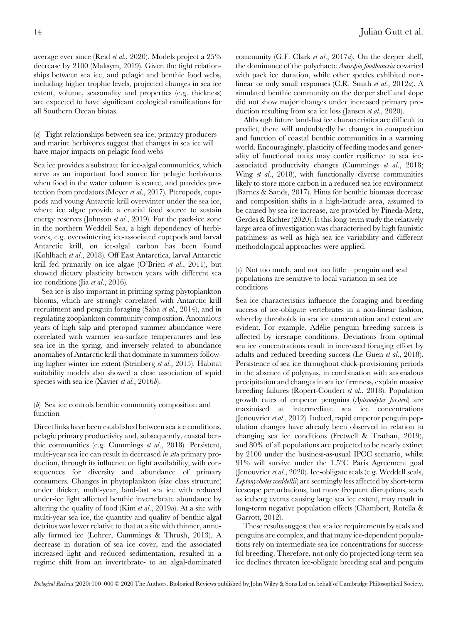average ever since (Reid et al., 2020). Models project a 25% decrease by 2100 (Maksym, 2019). Given the tight relationships between sea ice, and pelagic and benthic food webs, including higher trophic levels, projected changes in sea ice extent, volume, seasonality and properties (e.g. thickness) are expected to have significant ecological ramifications for all Southern Ocean biotas.

(a) Tight relationships between sea ice, primary producers and marine herbivores suggest that changes in sea ice will have major impacts on pelagic food webs

Sea ice provides a substrate for ice-algal communities, which serve as an important food source for pelagic herbivores when food in the water column is scarce, and provides protection from predators (Meyer et al., 2017). Pteropods, copepods and young Antarctic krill overwinter under the sea ice, where ice algae provide a crucial food source to sustain energy reserves (Johnson et al., 2019). For the pack-ice zone in the northern Weddell Sea, a high dependency of herbivores, e.g. overwintering ice-associated copepods and larval Antarctic krill, on ice-algal carbon has been found (Kohlbach et al., 2018). Off East Antarctica, larval Antarctic krill fed primarily on ice algae (O'Brien et al., 2011), but showed dietary plasticity between years with different sea ice conditions (Jia et al., 2016).

Sea ice is also important in priming spring phytoplankton blooms, which are strongly correlated with Antarctic krill recruitment and penguin foraging (Saba et al., 2014), and in regulating zooplankton community composition. Anomalous years of high salp and pteropod summer abundance were correlated with warmer sea-surface temperatures and less sea ice in the spring, and inversely related to abundance anomalies of Antarctic krill that dominate in summers following higher winter ice extent (Steinberg et al., 2015). Habitat suitability models also showed a close association of squid species with sea ice (Xavier *et al.*, 2016*b*).

## (b) Sea ice controls benthic community composition and function

Direct links have been established between sea ice conditions, pelagic primary productivity and, subsequently, coastal benthic communities (e.g. Cummings et al., 2018). Persistent, multi-year sea ice can result in decreased *in situ* primary production, through its influence on light availability, with consequences for diversity and abundance of primary consumers. Changes in phytoplankton (size class structure) under thicker, multi-year, land-fast sea ice with reduced under-ice light affected benthic invertebrate abundance by altering the quality of food (Kim et al., 2019a). At a site with multi-year sea ice, the quantity and quality of benthic algal detritus was lower relative to that at a site with thinner, annually formed ice (Lohrer, Cummings & Thrush, 2013). A decrease in duration of sea ice cover, and the associated increased light and reduced sedimentation, resulted in a regime shift from an invertebrate- to an algal-dominated

community (G.F. Clark et al., 2017a). On the deeper shelf, the dominance of the polychaete Aurospio foodbancsia covaried with pack ice duration, while other species exhibited nonlinear or only small responses (C.R. Smith et al., 2012a). A simulated benthic community on the deeper shelf and slope did not show major changes under increased primary production resulting from sea ice loss (Jansen et al., 2020).

Although future land-fast ice characteristics are difficult to predict, there will undoubtedly be changes in composition and function of coastal benthic communities in a warming world. Encouragingly, plasticity of feeding modes and generality of functional traits may confer resilience to sea iceassociated productivity changes (Cummings et al., 2018; Wing *et al.*, 2018), with functionally diverse communities likely to store more carbon in a reduced sea ice environment (Barnes & Sands, 2017). Hints for benthic biomass decrease and composition shifts in a high-latitude area, assumed to be caused by sea ice increase, are provided by Pineda-Metz, Gerdes & Richter (2020). It this long-term study the relatively large area of investigation was characterised by high faunistic patchiness as well as high sea ice variability and different methodological approaches were applied.

(c) Not too much, and not too little – penguin and seal populations are sensitive to local variation in sea ice conditions

Sea ice characteristics influence the foraging and breeding success of ice-obligate vertebrates in a non-linear fashion, whereby thresholds in sea ice concentration and extent are evident. For example, Adélie penguin breeding success is affected by icescape conditions. Deviations from optimal sea ice concentrations result in increased foraging effort by adults and reduced breeding success (Le Guen et al., 2018). Persistence of sea ice throughout chick-provisioning periods in the absence of polynyas, in combination with anomalous precipitation and changes in sea ice firmness, explain massive breeding failures (Ropert-Coudert et al., 2018). Population growth rates of emperor penguins (Aptenodytes forsteri) are maximised at intermediate sea ice concentrations (Jenouvrier et al., 2012). Indeed, rapid emperor penguin population changes have already been observed in relation to changing sea ice conditions (Fretwell & Trathan, 2019), and 80% of all populations are projected to be nearly extinct by 2100 under the business-as-usual IPCC scenario, whilst  $91\%$  will survive under the  $1.5^{\circ}$ C Paris Agreement goal (Jenouvrier et al., 2020). Ice-obligate seals (e.g. Weddell seals, Leptonychotes weddellii) are seemingly less affected by short-term icescape perturbations, but more frequent disruptions, such as iceberg events causing large sea ice extent, may result in long-term negative population effects (Chambert, Rotella & Garrott, 2012).

These results suggest that sea ice requirements by seals and penguins are complex, and that many ice-dependent populations rely on intermediate sea ice concentrations for successful breeding. Therefore, not only do projected long-term sea ice declines threaten ice-obligate breeding seal and penguin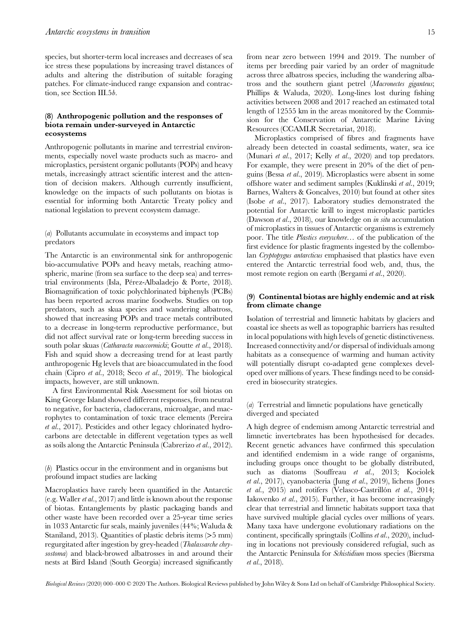species, but shorter-term local increases and decreases of sea ice stress these populations by increasing travel distances of adults and altering the distribution of suitable foraging patches. For climate-induced range expansion and contraction, see Section III.5b.

## (8) Anthropogenic pollution and the responses of biota remain under-surveyed in Antarctic ecosystems

Anthropogenic pollutants in marine and terrestrial environments, especially novel waste products such as macro- and microplastics, persistent organic pollutants (POPs) and heavy metals, increasingly attract scientific interest and the attention of decision makers. Although currently insufficient, knowledge on the impacts of such pollutants on biotas is essential for informing both Antarctic Treaty policy and national legislation to prevent ecosystem damage.

(a) Pollutants accumulate in ecosystems and impact top predators

The Antarctic is an environmental sink for anthropogenic bio-accumulative POPs and heavy metals, reaching atmospheric, marine (from sea surface to the deep sea) and terrestrial environments (Isla, Pérez-Albaladejo & Porte, 2018). Biomagnification of toxic polychlorinated biphenyls (PCBs) has been reported across marine foodwebs. Studies on top predators, such as skua species and wandering albatross, showed that increasing POPs and trace metals contributed to a decrease in long-term reproductive performance, but did not affect survival rate or long-term breeding success in south polar skuas (Catharacta maccormicki; Goutte et al., 2018). Fish and squid show a decreasing trend for at least partly anthropogenic Hg levels that are bioaccumulated in the food chain (Cipro et al., 2018; Seco et al., 2019). The biological impacts, however, are still unknown.

A first Environmental Risk Assessment for soil biotas on King George Island showed different responses, from neutral to negative, for bacteria, cladocerans, microalgae, and macrophytes to contamination of toxic trace elements (Pereira et al., 2017). Pesticides and other legacy chlorinated hydrocarbons are detectable in different vegetation types as well as soils along the Antarctic Peninsula (Cabrerizo et al., 2012).

(b) Plastics occur in the environment and in organisms but profound impact studies are lacking

Macroplastics have rarely been quantified in the Antarctic (e.g. Waller et al., 2017) and little is known about the response of biotas. Entanglements by plastic packaging bands and other waste have been recorded over a 25-year time series in 1033 Antarctic fur seals, mainly juveniles (44%; Waluda & Staniland, 2013). Quantities of plastic debris items (>5 mm) regurgitated after ingestion by grey-headed (Thalassarche chrysostoma) and black-browed albatrosses in and around their nests at Bird Island (South Georgia) increased significantly

from near zero between 1994 and 2019. The number of items per breeding pair varied by an order of magnitude across three albatross species, including the wandering albatross and the southern giant petrel (Macronectes giganteus; Phillips & Waluda, 2020). Long-lines lost during fishing activities between 2008 and 2017 reached an estimated total length of 12555 km in the areas monitored by the Commission for the Conservation of Antarctic Marine Living Resources (CCAMLR Secretariat, 2018).

Microplastics comprised of fibres and fragments have already been detected in coastal sediments, water, sea ice (Munari et al., 2017; Kelly et al., 2020) and top predators. For example, they were present in 20% of the diet of penguins (Bessa et al., 2019). Microplastics were absent in some offshore water and sediment samples (Kuklinski et al., 2019; Barnes, Walters & Goncalves, 2010) but found at other sites (Isobe et al., 2017). Laboratory studies demonstrated the potential for Antarctic krill to ingest microplastic particles (Dawson *et al.*, 2018), our knowledge on *in situ* accumulation of microplastics in tissues of Antarctic organisms is extremely poor. The title Plastics everywhere… of the publication of the first evidence for plastic fragments ingested by the collembolan Cryptopygus antarcticus emphasised that plastics have even entered the Antarctic terrestrial food web, and, thus, the most remote region on earth (Bergami et al., 2020).

## (9) Continental biotas are highly endemic and at risk from climate change

Isolation of terrestrial and limnetic habitats by glaciers and coastal ice sheets as well as topographic barriers has resulted in local populations with high levels of genetic distinctiveness. Increased connectivity and/or dispersal of individuals among habitats as a consequence of warming and human activity will potentially disrupt co-adapted gene complexes developed over millions of years. These findings need to be considered in biosecurity strategies.

(a) Terrestrial and limnetic populations have genetically diverged and speciated

A high degree of endemism among Antarctic terrestrial and limnetic invertebrates has been hypothesised for decades. Recent genetic advances have confirmed this speculation and identified endemism in a wide range of organisms, including groups once thought to be globally distributed, such as diatoms (Souffreau et al., 2013; Kociolek et al., 2017), cyanobacteria (Jung et al., 2019), lichens (Jones et al., 2015) and rotifers (Velasco-Castrillón et al., 2014; Iakovenko et al., 2015). Further, it has become increasingly clear that terrestrial and limnetic habitats support taxa that have survived multiple glacial cycles over millions of years. Many taxa have undergone evolutionary radiations on the continent, specifically springtails (Collins et al., 2020), including in locations not previously considered refugial, such as the Antarctic Peninsula for Schistidium moss species (Biersma et al., 2018).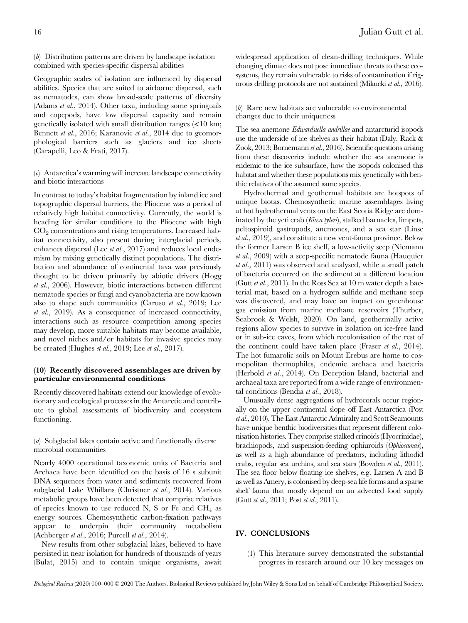(b) Distribution patterns are driven by landscape isolation combined with species-specific dispersal abilities

Geographic scales of isolation are influenced by dispersal abilities. Species that are suited to airborne dispersal, such as nematodes, can show broad-scale patterns of diversity (Adams et al., 2014). Other taxa, including some springtails and copepods, have low dispersal capacity and remain genetically isolated with small distribution ranges (<10 km; Bennett et al., 2016; Karanovic et al., 2014 due to geomorphological barriers such as glaciers and ice sheets (Carapelli, Leo & Frati, 2017).

## (c) Antarctica's warming will increase landscape connectivity and biotic interactions

In contrast to today's habitat fragmentation by inland ice and topographic dispersal barriers, the Pliocene was a period of relatively high habitat connectivity. Currently, the world is heading for similar conditions to the Pliocene with high  $CO<sub>2</sub>$  concentrations and rising temperatures. Increased habitat connectivity, also present during interglacial periods, enhances dispersal (Lee *et al.*, 2017) and reduces local endemism by mixing genetically distinct populations. The distribution and abundance of continental taxa was previously thought to be driven primarily by abiotic drivers (Hogg et al., 2006). However, biotic interactions between different nematode species or fungi and cyanobacteria are now known also to shape such communities (Caruso et al., 2019; Lee et al., 2019). As a consequence of increased connectivity, interactions such as resource competition among species may develop, more suitable habitats may become available, and novel niches and/or habitats for invasive species may be created (Hughes et al., 2019; Lee et al., 2017).

## (10) Recently discovered assemblages are driven by particular environmental conditions

Recently discovered habitats extend our knowledge of evolutionary and ecological processes in the Antarctic and contribute to global assessments of biodiversity and ecosystem functioning.

(a) Subglacial lakes contain active and functionally diverse microbial communities

Nearly 4000 operational taxonomic units of Bacteria and Archaea have been identified on the basis of 16 s subunit DNA sequences from water and sediments recovered from subglacial Lake Whillans (Christner et al., 2014). Various metabolic groups have been detected that comprise relatives of species known to use reduced N, S or Fe and  $CH_4$  as energy sources. Chemosynthetic carbon-fixation pathways appear to underpin their community metabolism (Achberger et al., 2016; Purcell et al., 2014).

New results from other subglacial lakes, believed to have persisted in near isolation for hundreds of thousands of years (Bulat, 2015) and to contain unique organisms, await widespread application of clean-drilling techniques. While changing climate does not pose immediate threats to these ecosystems, they remain vulnerable to risks of contamination if rigorous drilling protocols are not sustained (Mikucki et al., 2016).

# (b) Rare new habitats are vulnerable to environmental changes due to their uniqueness

The sea anemone Edwardsiella andrillae and antarcturid isopods use the underside of ice shelves as their habitat (Daly, Rack & Zook, 2013; Bornemann et al., 2016). Scientific questions arising from these discoveries include whether the sea anemone is endemic to the ice subsurface, how the isopods colonised this habitat and whether these populations mix genetically with benthic relatives of the assumed same species.

Hydrothermal and geothermal habitats are hotspots of unique biotas. Chemosynthetic marine assemblages living at hot hydrothermal vents on the East Scotia Ridge are dominated by the yeti crab (Kiwa tyleri), stalked barnacles, limpets, peltospiroid gastropods, anemones, and a sea star (Linse et al., 2019), and constitute a new vent-fauna province. Below the former Larsen B ice shelf, a low-activity seep (Niemann et al., 2009) with a seep-specific nematode fauna (Hauquier et al., 2011) was observed and analysed, while a small patch of bacteria occurred on the sediment at a different location (Gutt et al., 2011). In the Ross Sea at 10 m water depth a bacterial mat, based on a hydrogen sulfide and methane seep was discovered, and may have an impact on greenhouse gas emission from marine methane reservoirs (Thurber, Seabrook & Welsh, 2020). On land, geothermally active regions allow species to survive in isolation on ice-free land or in sub-ice caves, from which recolonisation of the rest of the continent could have taken place (Fraser et al., 2014). The hot fumarolic soils on Mount Erebus are home to cosmopolitan thermophiles, endemic archaea and bacteria (Herbold et al., 2014). On Deception Island, bacterial and archaeal taxa are reported from a wide range of environmental conditions (Bendia et al., 2018).

Unusually dense aggregations of hydrocorals occur regionally on the upper continental slope off East Antarctica (Post et al., 2010). The East Antarctic Admiralty and Scott Seamounts have unique benthic biodiversities that represent different colonisation histories. They comprise stalked crinoids (Hyocrinidae), brachiopods, and suspension-feeding ophiuroids (Ophiocamax), as well as a high abundance of predators, including lithodid crabs, regular sea urchins, and sea stars (Bowden et al., 2011). The sea floor below floating ice shelves, e.g. Larsen A and B as well as Amery, is colonised by deep-sea life forms and a sparse shelf fauna that mostly depend on an advected food supply (Gutt et al., 2011; Post et al., 2011).

# IV. CONCLUSIONS

(1) This literature survey demonstrated the substantial progress in research around our 10 key messages on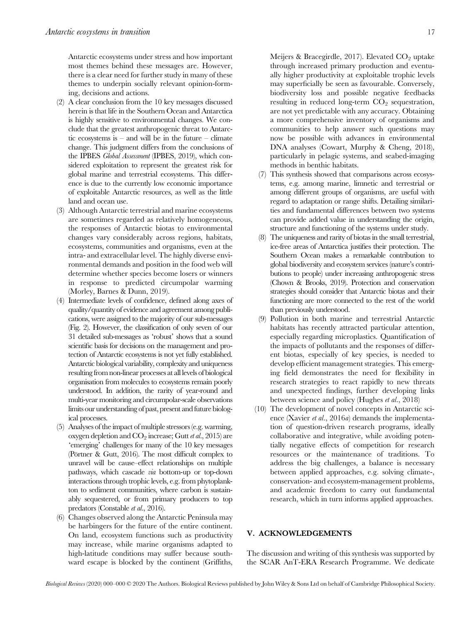Antarctic ecosystems under stress and how important most themes behind these messages are. However, there is a clear need for further study in many of these themes to underpin socially relevant opinion-forming, decisions and actions.

- (2) A clear conclusion from the 10 key messages discussed herein is that life in the Southern Ocean and Antarctica is highly sensitive to environmental changes. We conclude that the greatest anthropogenic threat to Antarctic ecosystems is – and will be in the future – climate change. This judgment differs from the conclusions of the IPBES Global Assessment (IPBES, 2019), which considered exploitation to represent the greatest risk for global marine and terrestrial ecosystems. This difference is due to the currently low economic importance of exploitable Antarctic resources, as well as the little land and ocean use.
- (3) Although Antarctic terrestrial and marine ecosystems are sometimes regarded as relatively homogeneous, the responses of Antarctic biotas to environmental changes vary considerably across regions, habitats, ecosystems, communities and organisms, even at the intra- and extracellular level. The highly diverse environmental demands and position in the food web will determine whether species become losers or winners in response to predicted circumpolar warming (Morley, Barnes & Dunn, 2019).
- (4) Intermediate levels of confidence, defined along axes of quality/quantity of evidence and agreement among publications, were assigned to the majority of our sub-messages (Fig. 2). However, the classification of only seven of our 31 detailed sub-messages as 'robust' shows that a sound scientific basis for decisions on the management and protection of Antarctic ecosystems is not yet fully established. Antarctic biological variability, complexity and uniqueness resulting from non-linear processes at all levels of biological organisation from molecules to ecosystems remain poorly understood. In addition, the rarity of year-round and multi-year monitoring and circumpolar-scale observations limits our understanding of past, present and future biological processes.
- (5) Analyses of the impact of multiple stressors (e.g. warming, oxygen depletion and  $CO<sub>2</sub>$  increase; Gutt *et al.*, 2015) are 'emerging' challenges for many of the 10 key messages (Pörtner & Gutt, 2016). The most difficult complex to unravel will be cause–effect relationships on multiple pathways, which cascade via bottom-up or top-down interactions through trophic levels, e.g. from phytoplankton to sediment communities, where carbon is sustainably sequestered, or from primary producers to top predators (Constable et al., 2016).
- (6) Changes observed along the Antarctic Peninsula may be harbingers for the future of the entire continent. On land, ecosystem functions such as productivity may increase, while marine organisms adapted to high-latitude conditions may suffer because southward escape is blocked by the continent (Griffiths,

Meijers & Bracegirdle, 2017). Elevated  $CO<sub>2</sub>$  uptake through increased primary production and eventually higher productivity at exploitable trophic levels may superficially be seen as favourable. Conversely, biodiversity loss and possible negative feedbacks resulting in reduced long-term  $CO<sub>2</sub>$  sequestration, are not yet predictable with any accuracy. Obtaining a more comprehensive inventory of organisms and communities to help answer such questions may now be possible with advances in environmental DNA analyses (Cowart, Murphy & Cheng, 2018), particularly in pelagic systems, and seabed-imaging methods in benthic habitats.

- (7) This synthesis showed that comparisons across ecosystems, e.g. among marine, limnetic and terrestrial or among different groups of organisms, are useful with regard to adaptation or range shifts. Detailing similarities and fundamental differences between two systems can provide added value in understanding the origin, structure and functioning of the systems under study.
- (8) The uniqueness and rarity of biotas in the small terrestrial, ice-free areas of Antarctica justifies their protection. The Southern Ocean makes a remarkable contribution to global biodiversity and ecosystem services (nature's contributions to people) under increasing anthropogenic stress (Chown & Brooks, 2019). Protection and conservation strategies should consider that Antarctic biotas and their functioning are more connected to the rest of the world than previously understood.
- (9) Pollution in both marine and terrestrial Antarctic habitats has recently attracted particular attention, especially regarding microplastics. Quantification of the impacts of pollutants and the responses of different biotas, especially of key species, is needed to develop efficient management strategies. This emerging field demonstrates the need for flexibility in research strategies to react rapidly to new threats and unexpected findings, further developing links between science and policy (Hughes et al., 2018)
- (10) The development of novel concepts in Antarctic science (Xavier et al., 2016a) demands the implementation of question-driven research programs, ideally collaborative and integrative, while avoiding potentially negative effects of competition for research resources or the maintenance of traditions. To address the big challenges, a balance is necessary between applied approaches, e.g. solving climate-, conservation- and ecosystem-management problems, and academic freedom to carry out fundamental research, which in turn informs applied approaches.

## V. ACKNOWLEDGEMENTS

The discussion and writing of this synthesis was supported by the SCAR AnT-ERA Research Programme. We dedicate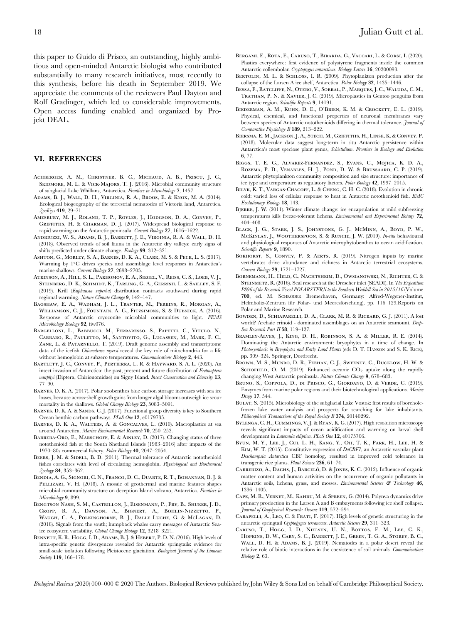### VI. REFERENCES

- Achberger, A. M., Christner, B. C., Michaud, A. B., Priscu, J. C., SKIDMORE, M. L. & VICK-MAJORS, T. J. (2016). Microbial community structure of subglacial Lake Whillans, Antarctica. Frontiers in Microbiology 7, 1457.
- Adams, B. J., Wall, D. H., Virginia, R. A., Broos, E. & Knox, M. A. (2014). Ecological biogeography of the terrestrial nematodes of Victoria land, Antarctica. ZooKeys 419, 29–71.
- Amesbury, M. J., Roland, T. P., Royles, J., Hodgson, D. A., Convey, P., Griffiths, H. & Charman, D. J. (2017). Widespread biological response to rapid warming on the Antarctic peninsula. Current Biology 27, 1616–1622.
- Andriuzzi, W. S., Adams, B. J., Barrett, J. E., Virginia, R. A. & Wall, D. H. (2018). Observed trends of soil fauna in the Antarctic dry valleys: early signs of shifts predicted under climate change. Ecology 99, 312–321.
- Ashton, G., Morley, S. A., Barnes, D. K. A., Clark, M. S. & Peck, L. S. (2017). Warming by 1°C drives species and assemblage level responses in Antarctica's marine shallows. Current Biology 27, 2698–2705.
- ATKINSON, A., HILL, S. L., PAKHOMOV, E. A., SIEGEL, V., REISS, C. S., LOEB, V. J., Steinberg, D. K., Schmidt, K., Tarling, G. A., Gerrish, L. & Sailley, S. F. (2019). Krill (Euphausia superba) distribution contracts southward during rapid regional warming. Nature Climate Change 9, 142–147.
- Bagshaw, E. A., Wadham, J. L., Tranter, M., Perkins, R., Morgan, A., Williamson, C. J., Fountain, A. G., Fitzsimons, S. & Dubnick, A. (2016). Response of Antarctic cryoconite microbial communities to light. FEMS Microbiology Ecology 92, fiw076.
- BARGELLONI, L., BABBUCCI, M., FERRARESSO, S., PAPETTI, C., VITULO, N., Carraro, R., Pauletto, M., Santovito, G., Lucassen, M., Mark, F. C., ZANE, L. & PATARNELLO, T. (2019). Draft genome assembly and transcriptome data of the icefish Chionodraco myersi reveal the key role of mitochondria for a life without hemoglobin at subzero temperatures. Communications Biology 2, 443.
- Bartlett, J. C., Convey, P., Pertierra, L. R. & Hayward, S. A. L. (2020). An insect invasion of Antarctica: the past, present and future distribution of Eretmoptera murphyi (Diptera, Chirionomidae) on Signy Island. Insect Conservation and Diversity 13, 77–90.
- Barnes, D. K. A. (2017). Polar zoobenthos blue carbon storage increases with sea ice losses, because across-shelf growth gains from longer algal blooms outweigh ice scour mortality in the shallows. Global Change Biology 23, 5083–5091.
- BARNES, D. K. A. & SANDS, C. J. (2017). Functional group diversity is key to Southern Ocean benthic carbon pathways. PLoS One 12, e0179735.
- Barnes, D. K. A., Walters, A. & Goncalves, L. (2010). Macroplastics at sea around Antarctica. Marine Environmental Research 70, 250–252.
- BARRERA-ORO, E., MARSCHOFF, E. & AINLEY, D. (2017). Changing status of three notothenioid fish at the South Shetland Islands (1983–2016) after impacts of the 1970–80s commercial fishery. Polar Biology 40, 2047–2054.
- BEERS, J. M. & SIDELL, B. D. (2011). Thermal tolerance of Antarctic notothenioid fishes correlates with level of circulating hemoglobin. Physiological and Biochemical Zoology 84, 353–362.
- BENDIA, A. G., SIGNORI, C. N., FRANCO, D. C., DUARTE, R. T., BOHANNAN, B. J. & PELLIZARI, V. H. (2018). A mosaic of geothermal and marine features shapes microbial community structure on deception Island volcano, Antarctica. Frontiers in Microbiology 9, 899.
- Bengtson Nash, S. M., Castrillon, J., Eisenmann, P., Fry, B., Shuker, J. D., Cropp, R. A., Dawson, A., Bignert, A., Bohlin-Nizzetto, P., Waugh, C. A., Polkinghorne, B. J., Dalle Luche, G. & McLagan, D. (2018). Signals from the south; humpback whales carry messages of Antarctic Seaice ecosystem variability. Global Change Biology 12, 3218–3221.
- BENNETT, K. R., HOGG, I. D., ADAMS, B. J. & HEBERT, P. D. N. (2016). High levels of intra-specific genetic divergences revealed for Antarctic springtails: evidence for small-scale isolation following Pleistocene glaciation. Biological Journal of the Linnean Society **119**, 166-178.
- Bergami, E., Rota, E., Caruso, T., Birarda, G., Vaccari, L. & Corsi, I. (2020). Plastics everywhere: first evidence of polystyrene fragments inside the common Antarctic collembolan Cryptopygus antarcticus. Biology Letters 16, 20200093.
- BERTOLIN, M. L. & SCHLOSS, I. R. (2009). Phytoplankton production after the collapse of the Larsen A ice shelf, Antarctica. Polar Biology 32, 1435–1446.
- Bessa, F., Ratcliffe, N., Otero, V., Sobral, P., Marques, J. C., Waluda, C. M., Trathan, P. N. & Xavier, J. C. (2019). Microplastics in Gentoo penguins from Antarctic region. Scientific Reports 9, 14191.
- Biederman, A. M., Kuhn, D. E., O'Brien, K. M. & Crockett, E. L. (2019). Physical, chemical, and functional properties of neuronal membranes vary between species of Antarctic notothenioids differing in thermal tolerance. Journal of Comparative Physiology B 189, 213–222.
- Biersma, E. M., Jackson, J. A., Stech, M., Griffiths, H., Linse, K. & Convey, P. (2018). Molecular data suggest long-term in situ Antarctic persistence within Antarctica's most speciose plant genus, Schistidium. Frontiers in Ecology and Evolution 6, 77.
- Biggs, T. E. G., Alvarez-Fernandez, S., Evans, C., Mojica, K. D. A., Rozema, P. D., Venables, H. J., Pond, D. W. & Brussaard, C. P. (2019). Antarctic phytoplankton community composition and size structure: importance of ice type and temperature as regulatory factors. Polar Biology 42, 1997–2015.
- BILYK, K. T., VARGAS-CHACOFF, L. & CHENG, C. H. C. (2018). Evolution in chronic cold: varied loss of cellular response to heat in Antarctic notothenioid fish. BMC Evolutionary Biology 18, 143.
- Bjerke, J. W. (2011). Winter climate change: ice encapsulation at mild subfreezing temperatures kills freeze-tolerant lichens. Environmental and Experimental Botany 72, 404–408.
- BLACK, J. G., STARK, J. S., JOHNSTONE, G. J., MCMINN, A., BOYD, P. W., McKINLAY, J., WOOTHERSPOON, S. & RUNCIE, J. W. (2019). In-situ behavioural and physiological responses of Antarctic microphytobenthos to ocean acidification. Scientific Reports 9, 1890.
- BOKHORST, S., CONVEY, P. & AERTS, R. (2019). Nitrogen inputs by marine vertebrates drive abundance and richness in Antarctic terrestrial ecosystems. Current Biology 29, 1721–1727.
- Bornemann, H., Held, C., Nachtsheim, D., Owsianowski, N., Richter, C. & STEINMETZ, R. (2016). Seal research at the Drescher inlet (SEADI). In The Expedition PS96 of the Research Vessel POLARSTERN to the Southern Weddell Sea in 2015/16 (Volume 700, ed. M. SCHRÖDER Bremerhaven, Germany: Alfred-Wegener-Institut, Helmholtz-Zentrum für Polar- und Meeresforschung), pp. 116–129.Reports on Polar and Marine Research.
- Bowden, D., Schiaparelli, D. A., Clark, M. R. & Rickard, G. J. (2011). A lost world? Archaic crinoid - dominated assemblages on an Antarctic seamount. Deep-Sea Research Part II 58, 119-127.
- Bramley-Alves, J., King, D. H., Robinson, S. A. & Miller, R. E. (2014). Dominating the Antarctic environment: bryophytes in a time of change. In Photosynthesis in Bryophytes and Early Land Plants (eds D. T. HANSON and S. K. RICE), pp. 309–324. Springer, Dordrecht.
- Brown, M. S., Munro, D. R., Feehan, C. J., Sweeney, C., Ducklow, H. W. & SCHOFIELD, O. M. (2019). Enhanced oceanic  $CO<sub>2</sub>$  uptake along the rapidly changing West Antarctic peninsula. Nature Climate Change 9, 678–683.
- Bruno, S., Coppola, D., di Prisco, G., Giordano, D. & Verde, C. (2019). Enzymes from marine polar regions and their biotechnological applications. Marine Drugs 17, 544.
- Bulat, S. (2015). Microbiology of the subglacial Lake Vostok: first results of boreholefrozen lake water analysis and prospects for searching for lake inhabitants. Philosophical Transactions of the Royal Society B 374, 20140292.
- BYLENGA, C. H., CUMMINGS, V. J. & RYAN, K. G. (2017). High resolution microscopy reveals significant impacts of ocean acidification and warming on larval shell development in *Laternula elliptica*. PLoS One 12, e0175706.
- Byun, M. Y., Lee, J., Cui, L. H., Kang, Y., Oh, T. K., Park, H., Lee, H. & Kim, W. T. (2015). Constitutive expression of DaCBF7, an Antarctic vascular plant Deschampsia Antarctica CBF homolog, resulted in improved cold tolerance in transgenic rice plants. Plant Science 236, 61-74.
- CABRERIZO, A., DACHS, J., BARCELÓ, D. & JONES, K. C. (2012). Influence of organic matter content and human activities on the occurrence of organic pollutants in Antarctic soils, lichens, grass, and mosses. Environmental Science & Technology 46, 1396–1405.
- Cape, M. R., Vernet, M., Kahru, M. & Spreen, G. (2014). Polynya dynamics drive primary production in the Larsen A and B embayments following ice shelf collapse. Journal of Geophysical Research: Oceans 119, 572–594.
- Carapelli, A., Leo, C. & Frati, F. (2017). High levels of genetic structuring in the antarctic springtail Cryptopygus terranovus. Antarctic Science 29, 311–323.
- Caruso, T., Hogg, I. D., Nielsen, U. N., Bottos, E. M., Lee, C. K., Hopkins, D. W., Cary, S. C., Barrett, J. E., Green, T. G. A., Storey, B. C., WALL, D. H. & ADAMS, B. J. (2019). Nematodes in a polar desert reveal the relative role of biotic interactions in the coexistence of soil animals. Communications Biology 2, 63.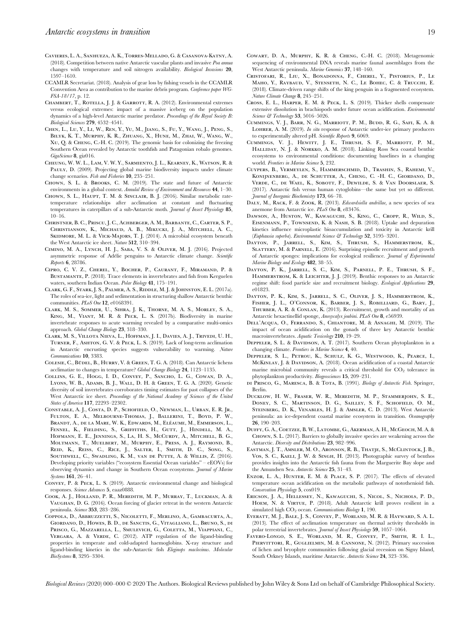- Cavieres, L. A., Sanhueza, A. K., Torres-Mellado, G. & Casanova-Katny, A. (2018). Competition between native Antarctic vascular plants and invasive Poa annua changes with temperature and soil nitrogen availability. Biological Invasions 20, 1597–1610.
- CCAMLR Secretariat. (2018). Analysis of gear loss by fishing vessels in the CCAMLR Convention Area as contribution to the marine debris program. Conference paper WG-FSA-18/17, p. 12.
- CHAMBERT, T., ROTELLA, J. J. & GARROTT, R. A. (2012). Environmental extremes versus ecological extremes: impact of a massive iceberg on the population dynamics of a high-level Antarctic marine predator. Proceedings of the Royal Society B: Biological Sciences 279, 4532–4541.
- Chen, L., Lu, Y., Li, W., Ren, Y., Yu, M., Jiang, S., Fu, Y., Wang, J., Peng, S., Bilyk, K. T., Murphy, K. R., Zhuang, X., Hune, M., Zhai, W., Wang, W., Xu, Q. & Cheng, C.-H. C. (2019). The genomic basis for colonizing the freezing Southern Ocean revealed by Antarctic toothfish and Patagonian robalo genomes. GigaScience 8, giz016.
- Cheung, W. W. L., Lam, V. W. Y., Sarmiento, J. L., Kearney, K., Watson, R. & PAULY, D. (2009). Projecting global marine biodiversity impacts under climate change scenarios. Fish and Fisheries 10, 235–251.
- Chown, S. L. & Brooks, C. M. (2019). The state and future of Antarctic environments in a global context. Annulal Review of Environment and Resources 44, 1–30.
- CHOWN, S. L., HAUPT, T. M. & SINCLAIR, B. J. (2016). Similar metabolic ratetemperature relationships after acclimation at constant and fluctuating temperatures in caterpillars of a sub-Antarctic moth. Journal of Insect Physiology 85, 10–16.
- Christner, B. C., Priscu, J. C., Achberger, A. M., Barbante, C., Carter, S. P., Christianson, K., Michaud, A. B., Mikucki, J. A., Mitchell, A. C., SKIDMORE, M. L. & VICK-MAJORS, T. J. (2014). A microbial ecosystem beneath the West Antarctic ice sheet. Nature 512, 310–394.
- Cimino, M. A., Lynch, H. J., Saba, V. S. & Oliver, M. J. (2016). Projected asymmetric response of Adélie penguins to Antarctic climate change. Scientific Reports 6, 28786.
- Cipro, C. V. Z., Cherel, Y., Bocher, P., Caurant, F., Miramand, P. & Bustamante, P. (2018). Trace elements in invertebrates and fish from Kerguelen waters, southern Indian Ocean. Polar Biology 41, 175–191.
- Clark, G. F., Stark, J. S., Palmer, A. S., Riddle, M. J. & Johnston, E. L. (2017a). The roles of sea-ice, light and sedimentation in structuring shallow Antarctic benthic communities. PLoS One 12, e0168391.
- Clark, M. S., Sommer, U., Sihra, J. K., Thorne, M. A. S., Morley, S. A., King, M., Viant, M. R. & Peck, L. S. (2017b). Biodiversity in marine invertebrate responses to acute warming revealed by a comparative multi-omics approach. Global Change Biology 23, 318–330.
- Clark, M. S., Villota Nieva, L., Hoffman, J. I., Davies, A. J., Trivedi, U. H., Turner, F., Ashton, G. V. & Peck, L. S. (2019). Lack of long-term acclimation in Antarctic encrusting species suggests vulnerability to warming. Nature Communications 10, 3383.
- COLESIE, C., BÜDEL, B., HURRY, V. & GREEN, T. G. A. (2018). Can Antarctic lichens acclimatize to changes in temperature? Global Change Biology 24, 1123–1135.
- Collins, G. E., Hogg, I. D., Convey, P., Sancho, L. G., Cowan, D. A., Lyons, W. B., Adams, B. J., Wall, D. H. & Green, T. G. A. (2020). Genetic diversity of soil invertebrates corroborates timing estimates for past collapses of the West Antarctic ice sheet. Proceedings of the National Academy of Sciences of the United States of America 117, 22293–22302.
- Constable, A. J., Costa, D. P., Schofield, O., Newman, L., Urban, E. R. Jr., Fulton, E. A., Melbourne-Thomas, J., Ballerini, T., Boyd, P. W., BRANDT, A., DE LA MARE, W. K., EDWARDS, M., ELÉAUME, M., EMMERSON, L., Fennel, K., Fielding, S., Griffiths, H., Gutt, J., Hindell, M. A., Hofmann, E. E., Jennings, S., La, H. S., McCurdy, A., Mitchell, B. G., Moltmann, T., Muelbert, M., Murphy, E., Press, A. J., Raymond, B., Reid, K., Reiss, C., Rice, J., Salter, I., Smith, D. C., Song, S., Southwell, C., Swadling, K. M., van de Putte, A. & Willis, Z. (2016). Developing priority variables ("ecosystem Essential Ocean variables" – eEOVs) for observing dynamics and change in Southern Ocean ecosystems. Journal of Marine Systems 161, 26–41.
- Convey, P. & Peck, L. S. (2019). Antarctic environmental change and biological responses. Science Advances 5, eaaz0888.
- Cook, A. J., Holland, P. R., Meredith, M. P., Murray, T., Luckman, A. & Vaughan, D. G. (2016). Ocean forcing of glacier retreat in the western Antarctic peninsula. Science 353, 283–286.
- Coppola, D., Abbruzzetti, S., Nicoletti, F., Merlino, A., Gambacurta, A., Giordano, D., Howes, B. D., de Sanctis, G., Vitagliano, L., Bruno, S., di Prisco, G., Mazzarella, L., Smulevich, G., Coletta, M., Viappiani, C., VERGARA, A. & VERDE, C. (2012). ATP regulation of the ligand-binding properties in temperate and cold-adapted haemoglobins. X-ray structure and ligand-binding kinetics in the sub-Antarctic fish Eleginops maclovinus. Molecular BioSystems 8, 3295–3304.
- Cowart, D. A., Murphy, K. R. & Cheng, C.-H. C. (2018). Metagenomic sequencing of environmental DNA reveals marine faunal assemblages from the West Antarctic peninsula. Marine Genomics 37, 148–160.
- Cristofari, R., Liu, X., Bonadonna, F., Cherel, Y., Pistorius, P., Le Maho, Y., Raybaud, V., Stenseth, N. C., Le Bohec, C. & Trucchi, E. (2018). Climate-driven range shifts of the king penguin in a fragmented ecosystem. Nature Climate Change 8, 245-251.
- Cross, E. L., Harper, E. M. & Peck, L. S. (2019). Thicker shells compensate extensive dissolution in brachiopods under future ocean acidification. Environmental Science & Technology 53, 5016-5026.
- Cummings, V. J., Barr, N. G., Marriott, P. M., Budd, R. G., Safi, K. A. & LOHRER, A. M. (2019). In situ response of Antarctic under-ice primary producers to experimentally altered pH. Scientific Reports 9, 6069.
- Cummings, V. J., Hewitt, J. E., Thrush, S. F., Marriott, P. M., Halliday, N. J. & Norkko, A. M. (2018). Linking Ross Sea coastal benthic ecosystems to environmental conditions: documenting baselines in a changing world. Frontiers in Marine Science 5, 232.
- Cuypers, B., Vermeylen, S., Hammerschmid, D., Trashin, S., Rahemi, V., Konijnenberg, A., de Schutter, A., Cheng, C. -H. C., Giordano, D., Verde, C., de Wael, K., Sobott, F., Dewilde, S. & Van Doorslaer, S. (2017). Antarctic fish versus human cytoglobins—the same but yet so different. Journal of Inorganic Biochemistry 173, 66–78.
- DALY, M., RACK, F. & ZOOK, R. (2013). Edwardsiella andrillae, a new species of sea anemone from Antarctic ice. PLoS One 8, e83476.
- Dawson, A., Huston, W., Kawaguchi, S., King, C., Cropp, R., Wild, S., Eisenmann, P., Townsend, K. & Nash, S. B. (2018). Uptake and depuration kinetics influence microplastic bioaccumulation and toxicity in Antarctic krill (Euphausia superba). Environmental Science & Technology 52, 3195–3201.
- DAYTON, P., JARRELL, S., KIM, S., THRUSH, S., HAMMERSTROM, K., SLATTERY, M. & PARNELL, E. (2016). Surprising episodic recruitment and growth of Antarctic sponges: implications for ecological resilience. Journal of Experimental Marine Biology and Ecology 482, 38-55.
- Dayton, P. K., Jarrell, S. C., Kim, S., Parnell, P. E., Thrush, S. F., HAMMERSTROM, K. & LEICHTER, J. J. (2019). Benthic responses to an Antarctic regime shift: food particle size and recruitment biology. Ecological Applications 29, e01823.
- Dayton, P. K., Kim, S., Jarrell, S. C., Oliver, J. S., Hammerstrom, K., Fisher, J. L., O'Connor, K., Barber, J. S., Robilliard, G., Bary, J., THURBER, A. R. & CONLAN, K. (2013). Recruitment, growth and mortality of an Antarctic hexactinellid sponge, Anoxycalyx joubini. PLoS One 8, e56939.
- Dell'Acqua, O., Ferrando, S., Chiantore, M. & Asnaghi, M. (2019). The impact of ocean acidification on the gonads of three key Antarctic benthic macroinvertebrates. Aquatic Toxicology 210, 19-29.
- DEPPELER, S. L. & DAVIDSON, A. T. (2017). Southern Ocean phytoplankton in a changing climate. Frontiers in Marine Science 4, 40.
- Deppeler, S. L., Petrou, K., Schulz, K. G., Westwood, K., Pearce, I., McKINLAY, J. & DAVIDSON, A. (2018). Ocean acidification of a coastal Antarctic marine microbial community reveals a critical threshold for  $CO<sub>2</sub>$  tolerance in phytoplankton productivity. Biogeosciences 15, 209–231.
- DI PRISCO, G., MARESCA, B. & TOTA, B. (1991). Biology of Antarctic Fish. Springer, Berlin.
- Ducklow, H. W., Fraser, W. R., Meredith, M. P., Stammerjohn, S. E., Doney, S. C., Martinson, D. G., Sailley, S. F., Schofield, O. M., Steinberg, D. K., Venables, H. J. & Amsler, C. D. (2013). West Antarctic peninsula: an ice-dependent coastal marine ecosystem in transition. Oceanography 26, 190–203.
- Duffy, G. A., Coetzee, B. W., Latombe, G., Akerman, A. H., McGeoch, M. A. & Chown, S. L. (2017). Barriers to globally invasive species are weakening across the Antarctic. Diversity and Distributions 23, 982–996.
- Eastman, J. T., Amsler, M. O., Aronson, R. B., Thatje, S., McClintock, J. B., Vos, S. C., KAELI, J. W. & SINGH, H. (2013). Photographic survey of benthos provides insights into the Antarctic fish fauna from the Marguerite Bay slope and the Amundsen Sea. Antarctic Science 25, 31-43.
- Enzor, L. A., Hunter, E. M. & Place, S. P. (2017). The effects of elevated temperature ocean acidification on the metabolic pathways of notothenioid fish. Conservation Physiology 5, cox019.
- Ericson, J. A., Hellessey, N., Kawaguchi, S., Nicol, S., Nichols, P. D., Hoem, N. & Virtue, P. (2018). Adult Antarctic krill proves resilient in a simulated high  $CO<sub>2</sub>$  ocean. Communications Biology 1, 190.
- Everatt, M. J., Bale, J. S., Convey, P., Worland, M. R. & Hayward, S. A. L. (2013). The effect of acclimation temperature on thermal activity thresholds in polar terrestrial invertebrates. Journal of Insect Physiology 59, 1057–1064.
- Favero-Longo, S. E., Worland, M. R., Convey, P., Smith, R. I. L., PIERVITTORI, R., GUGLIELMIN, M. & CANNONE, N. (2012). Primary succession of lichen and bryophyte communities following glacial recession on Signy Island, South Orkney Islands, maritime Antarctic. Antarctic Science 24, 323-336.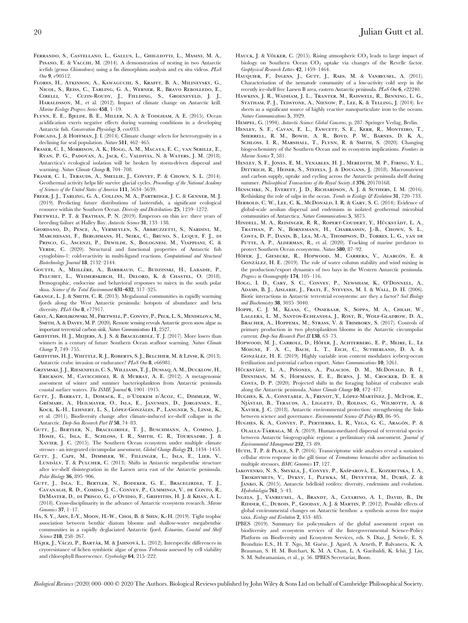- Flores, H., Atkinson, A., Kawaguchi, S., Krafft, B. A., Milinevsky, G., Nicol, S., Reiss, C., Tarling, G. A., Werner, R., Bravo Rebolledo, E., Cirelli, V., Cuzin-Roudy, J., Fielding, S., Groeneveld, J. J., HARALDSSON, M., et al. (2012). Impact of climate change on Antarctic krill. Marine Ecology Progress Series 458, 1–19.
- Flynn, E. E., Bjelde, B. E., Miller, N. A. & Todgham, A. E. (2015). Ocean acidification exerts negative effects during warming conditions in a developing Antarctic fish. Conservation Physiology 3, cov033.
- FORCADA, J. & HOFFMAN, J. I. (2014). Climate change selects for heterozygosity in a declining fur seal population. Nature 511, 462–465.
- Fraser, C. I., Morrison, A. K., Hogg, A. M., Macaya, E. C., van Sebille, E., Ryan, P. G., Padovan, A., Jack, C., Valdivia, N. & Waters, J. M. (2018). Antarctica's ecological isolation will be broken by storm-driven dispersal and warming. Nature Climate Change 8, 704-708.
- Fraser, C. I., Terauds, A., Smellie, J., Convey, P. & Chown, S. L. (2014). Geothermal activity helps life survive glacial cycles. Proceedings of the National Academy of Sciences of the United States of America 111, 5634–5639.
- Freer, J. J., Tarling, G. A., Collins, M. A., Partridge, J. C. & Genner, M. J. (2019). Predicting future distributions of lanternfish, a significant ecological resource within the Southern Ocean. Diversity and Distributions 25, 1259–1272.
- FRETWELL, P. T. & TRATHAN, P. N. (2019). Emperors on thin ice: three years of breeding failure at Halley Bay. Antarctic Science 31, 133–138.
- Giordano, D., Pesce, A., Vermeylen, S., Abbruzzetti, S., Nardini, M., Marchesani, F., Berghmans, H., Seira, C., Bruno, S., Luque, F. J., di Prisco, G., Ascenzi, P., Dewilde, S., Bolognesi, M., Viappiani, C. & VERDE, C. (2020). Structural and functional properties of Antarctic fish cytoglobins-1: cold-reactivity in multi-ligand reactions. Computational and Structural Biotechnology Journal 18, 2132–2144.
- GOUTTE, A., MEILLÈRE, A., BARBRAUD, C., BUDZINSKI, H., LABADIE, P., PELUHET, L., WEIMERSKIRCH, H., DELORD, K. & CHASTEL, O. (2018). Demographic, endocrine and behavioral responses to mirex in the south polar skua. Science of the Total Environment 631–632, 317–325.
- GRANGE, L. J. & SMITH, C. R. (2013). Megafaunal communities in rapidly warming fjords along the West Antarctic peninsula: hotspots of abundance and beta diversity. PLoS One 8, e77917.
- Gray, A., Krolikowski, M., Fretwell, P., Convey, P., Peck, L. S., Mendelova, M., Smith, A. & Davey, M. P. (2020). Remote sensing reveals Antarctic green snow algae as important terrestrial carbon sink. Nature Communications 11, 2527.
- Griffiths, H. J., Meijers, A. J. S. & Bracegirdle, T. J. (2017). More losers than winners in a century of future Southern Ocean seafloor warming. Nature Climate Change 7, 749–755.
- Griffiths, H. J., Whittle, R. J., Roberts, S. J., Belchier, M. & Linse, K. (2013). Antarctic crabs: invasion or endurance? PLoS One 8, e66981.
- Grzymski, J. J., Riesenfeld, C. S., Williams, T. J., Dussaq, A. M., Ducklow, H., Erickson, M., Cavicchioli, R. & Murray, A. E. (2012). A metagenomic assessment of winter and summer bacterioplankton from Antarctic peninsula coastal surface waters. The ISME Journal 6, 1901-1915.
- Gutt, J., Barratt, I., Domack, E., d'Udekem d'Acoz, C., Dimmler, W., GRÉMARE, A., HEILMAYER, O., ISLA, E., JANUSSEN, D., JORGENSEN, E., KOCK, K.-H., LEHNERT, L. S., LÓPEZ-GONZÁLES, P., LANGNER, S., LINSE, K., et al. (2011). Biodiversity change after climate-induced ice-shelf collapse in the Antarctic. Deep-Sea Research Part II 58, 74-83.
- Gutt, J., Bertler, N., Bracegirdle, T. J., Buschmann, A., Comiso, J., Hosie, G., Isla, E., Schloss, I. R., Smith, C. R., Tournadre, J. & XAVIER, J. C. (2015). The Southern Ocean ecosystem under multiple climate stresses - an integrated circumpolar assessment. Global Change Biology 21, 1434–1453.
- Gutt, J., Cape, M., Dimmler, W., Fillinger, L., Isla, E., Lieb, V., LUNDÄLV, T. & PULCHER, C. (2013). Shifts in Antarctic megabenthic structure after ice-shelf disintegration in the Larsen area east of the Antarctic peninsula. Polar Biology 36, 895–906.
- Gutt, J., Isla, E., Bertler, N., Bodeker, G. E., Bracegirdle, T. J., Cavanagh, R. D., Comiso, J. C., Convey, P., Cummings, V., de Conto, R., DeMaster, D., di Prisco, G., d'Ovidio, F., Griffiths, H. J. & Khan, A. L. (2018). Cross-disciplinarity in the advance of Antarctic ecosystem research. Marine Genomics 37, 1–17.
- Ha, S. Y., Ahn, I.-Y., Moon, H.-W., Choi, B. & Shin, K.-H. (2019). Tight trophic association between benthic diatom blooms and shallow-water megabenthic communities in a rapidly deglaciated Antarctic fjord. Estuarine, Coastal and Shelf Science 218, 258-267.
- Hájek, J., Váczi, P., Barták, M. & Jahnová, L. (2012). Interspecific differences in cryoresistance of lichen symbiotic algae of genus Trebouxia assessed by cell viability and chlorophyll fluorescence. Cryobiology 64, 215-222.
- HAUCK, J. & VÖLKER, C. (2015). Rising atmospheric  $CO_2$  leads to large impact of biology on Southern Ocean CO<sub>2</sub> uptake via changes of the Revelle factor. Geophysical Research Letters 42, 1459–1464.
- Hauquier, F., Ingens, J., Gutt, J., Raes, M. & Vanreusel, A. (2011). Characterisation of the nematode community of a low-activity cold seep in the recently ice-shelf free Larsen B area, eastern Antarctic peninsula. PLoS One 6, e22240.
- Hawkins, J. R., Wadham, J. L., Tranter, M., Raiswell, R., Benning, L. G., Statham, P. J., Tedstone, A., Nienow, P., Lee, K. & Telling, J. (2014). Ice sheets as a significant source of highly reactive nanoparticulate iron to the oceans. Nature Communications 5, 3929.
- HEMPEL, G. (1994). Antarctic Science: Global Concerns, p. 287. Springer Verlag, Berlin.
- Henley, S. F., Cavan, E. L., Fawcett, S. E., Kerr, R., Monteiro, T., Sherrell, R. M., Bowie, A. R., Boyd, P. W., Barnes, D. K. A., SCHLOSS, I. R., MARSHALL, T., FLYNN, R. & SMITH, S. (2020). Changing biogeochemistry of the Southern Ocean and its ecosystem implications. Frontiers in Marine Science 7, 581.
- Henley, S. F., Jones, E. M., Venables, H. J., Meredith, M. P., Firing, Y. L., DITTRICH, R., HEISER, S., STEFELS, J. & DOUGANS, J. (2018). Macronutrient and carbon supply, uptake and cycling across the Antarctic peninsula shelf during summer. Philosophical Transactions of the Royal Society A 376, 20170168.
- HENSCHKE, N., EVERETT, J. D., RICHARDSON, A. J. & SUTHERS, I. M. (2016). Rethinking the role of salps in the ocean. Trends in Ecology & Evolution 31, 720-733.
- HERBOLD, C. W., LEE, C. K., McDONALD, I. R. & CARY, S. C. (2014). Evidence of global-scale aeolian dispersal and endemism in isolated geothermal microbial communities of Antarctica. Nature Communications 5, 3875.
- HINDELL, M. A., REISINGER, R. R., ROPERT-COUDERT, Y., HÜCKSTÄDT, L. A., Trathan, P. N., Bornemann, H., Charrassin, J.-B., Chown, S. L., Costa, D. P., Danis, B., Lea, M.-A., Thompson, D., Torres, L. G., van de PUTTE, A. P., ALDERMAN, R., et al. (2020). Tracking of marine predators to protect Southern Ocean ecosystems. Nature 580, 87–92.
- HÖFER, J., GIESECKE, R., HOPWOOD, M., CARRERA, V., ALARCÓN, E. & GONZÁLEZ, H. E. (2019). The role of water column stability and wind mixing in the production/export dynamics of two bays in the Western Antarctic peninsula. Progress in Oceanography 174, 105-116.
- Hogg, I. D., Cary, S. C., Convey, P., Newsham, K., O'Donnell, A., Adams, B. J., Aislabie, J., Frati, F., Stevens, M. I. & Wall, D. H. (2006). Biotic interactions in Antarctic terrestrial ecosystems: are they a factor? Soil Biology and Biochemistry 38, 3035–3040.
- Hoppe, C. J. M., Klaas, C., Ossebaar, S., Soppa, M. A., Cheah, W., Laglera, L. M., Santos-Echeandia, J., Rost, B., Wolf-Gladrow, D. A., Bracher, A., Hoppema, M., Strass, V. & Trimborn, S. (2017). Controls of primary production in two phytoplankton blooms in the Antarctic circumpolar current. Deep-Sea Research Part II 138, 63–73.
- HOPWOOD, M. J., CARROLL, D., HÖFER, J., ACHTERBERG, E. P., MEIRE, L., LE Moigne, F. A. C., Bach, L. T., Eich, C., Sutherland, D. A. & GONZÁLEZ, H. E. (2019). Highly variable iron content modulates iceberg-ocean fertilisation and potential carbon export. Nature Communications 10, 5261.
- HÜCKSTÄDT, L. A., PIÑONES, A., PALACIOS, D. M., McDONALD, B. I., Dinniman, M. S., Hofmann, E. E., Burns, J. M., Crocker, D. E. & Costa, D. P. (2020). Projected shifts in the foraging habitat of crabeater seals along the Antarctic peninsula. Nature Climate Change 10, 472–477.
- HUGHES, K. A., CONSTABLE, A., FRENOT, Y., LÓPEZ-MARTÍNEZ, J., MCIVOR, E., Njåstad, B., Terauds, A., Liggett, D., Roldan, G., Wilmotte, A. & Xavier, J. C. (2018). Antarctic environmental protection: strengthening the links between science and governance. Environmental Science & Policy 83, 86-95.
- HUGHES, K. A., CONVEY, P., PERTIERRA, L. R., VEGA, G. C., ARAGÓN, P. & OLALLA-TÁRRAGA, M. Á. (2019). Human-mediated dispersal of terrestrial species between Antarctic biogeographic regions: a preliminary risk assessment. Journal of Environmental Management 232, 73–89.
- HUTH, T. P. & PLACE, S. P. (2016). Transcriptome wide analyses reveal a sustained cellular stress response in the gill tissue of Trematomus bernacchii after acclimation to multiple stressors. BMC Genomics 17, 127.
- IAKOVENKO, N. S., SMYKLA, J., CONVEY, P., KAŠPAROVÁ, E., KOZERETSKA, I. A., TROKHYMETS, V., DYKYY, I., PLEWKA, M., DEVETTER, M., DURIŠ, Z. & Janko, K. (2015). Antarctic bdelloid rotifers: diversity, endemism and evolution. Hydrobiologia 761, 5–43.
- Ingels, J., Vanreusel, A., Brandt, A., Catarino, A. I., David, B., De RIDDER, C., DUBOIS, P., GOODAY, A. J. & MARTIN, P. (2012). Possible effects of global environmental changes on Antarctic benthos: a synthesis across five major taxa. Ecology and Evolution 2, 453–485.
- IPBES (2019). Summary for policymakers of the global assessment report on biodiversity and ecosystem services of the Intergovernmental Science-Policy Platform on Biodiversity and Ecosystem Services, eds. S. Díaz, J. Settele, E. S. Brondízio E.S., H. T. Ngo, M. Guèze, J. Agard, A. Arneth, P. Balvanera, K. A. Brauman, S. H. M. Butchart, K. M. A. Chan, L. A. Garibaldi, K. Ichii, J. Liu, S. M. Subramanian, et al., p. 56. IPBES Secretariat, Bonn.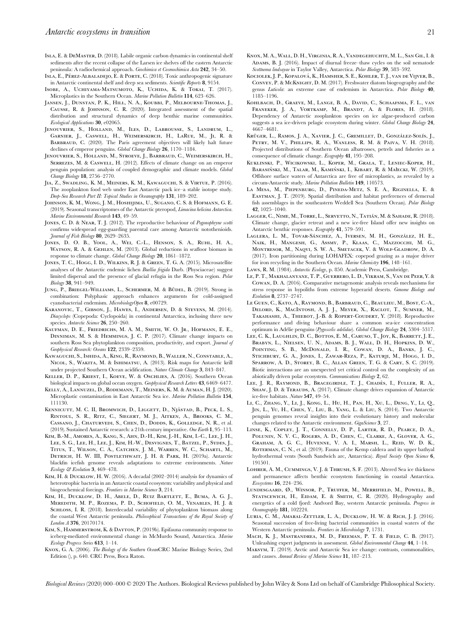- Isla, E. & DeMaster, D. (2018). Labile organic carbon dynamics in continental shelf sediments after the recent collapse of the Larsen ice shelves off the eastern Antarctic peninsula: A radiochemical approach. Geochimica et Cosmochimica Acta 242, 34–50.
- ISLA, E., PÉREZ-ALBALADEJO, E. & PORTE, C. (2018). Toxic anthropogenic signature in Antarctic continental shelf and deep sea sediments. Scientific Reports 8, 9154.
- Isobe, A., Uchiyama-Matsumoto, K., Uchida, K. & Tokai, T. (2017). Microplastics in the Southern Ocean. Marine Pollution Bulletin 114, 623–626.
- JANSEN, J., DUNSTAN, P. K., HILL, N. A., KOUBBI, P., MELBOURNE-THOMAS, J., Causse, R. & Johnson, C. R. (2020). Integrated assessment of the spatial distribution and structural dynamics of deep benthic marine communities. Ecological Applications 30, e02065.
- Jenouvrier, S., Holland, M., Iles, D., Labrousse, S., Landrum, L., Garnier, J., Caswell, H., Weimerskirch, H., LaRue, M., Ji, R. & BARBRAUD, C. (2020). The Paris agreement objectives will likely halt future declines of emperor penguins. Global Change Biology 26, 1170–1184.
- Jenouvrier, S., Holland, M., Stroeve, J., Barbraud, C., Weimerskirch, H., Serrezes, M. & Caswell, H. (2012). Effects of climate change on an emperor penguin population: analysis of coupled demographic and climate models. Global Change Biology 18, 2756–2770.
- Jia, Z., Swadling, K. M., Meiners, K. M., Kawaguchi, S. & Virtue, P. (2016). The zooplankton food web under East Antarctic pack ice–a stable isotope study. Deep-Sea Research Part II: Topical Studies in Oceanography 131, 189–202.
- Johnson, K. M., Wong, J. M., Hoshijima, U., Sugano, C. S. & Hofmann, G. E. (2019). Seasonal transcriptomes of the Antarctic pteropod, Limacina helicina Antarctica. Marine Environmental Research 143, 49–59.
- JONES, C. D. & NEAR, T. J. (2012). The reproductive behaviour of Pogonophryne scotti confirms widespread egg-guarding parental care among Antarctic notothenioids. Journal of Fish Biology 80, 2629–2635.
- Jones, D. O. B., Yool, A., Wei, C.-L., Henson, S. A., Ruhl, H. A., WATSON, R. A. & GEHLEN, M. (2013). Global reductions in seafloor biomass in response to climate change. Global Change Biology 20, 1861–1872.
- Jones, T. C., Hogg, I. D., Wilkins, R. J. & Green, T. G. A. (2015). Microsatellite analyses of the Antarctic endemic lichen Buellia frigida Darb. (Physciaceae) suggest limited dispersal and the presence of glacial refugia in the Ross Sea region. Polar Biology 38, 941–949.
- JUNG, P., BRIEGEL-WILLIAMS, L., SCHERMER, M. & BÜDEL, B. (2019). Strong in combination: Polyphasic approach enhances arguments for cold-assigned cyanobacterial endemism. MicrobiologyOpen 8, e00729.
- KARANOVIC, T., GIBSON, J., HAWES, I., ANDERSEN, D. & STEVENS, M. (2014). Diacyclops (Copepoda: Cyclopoida) in continental Antarctica, inclusing three new species. Antarctic Science 26, 250-260.
- KAUFMAN, D. E., FRIEDRICHS, M. A. M., SMITH, W. O. JR., HOFMANN, E. E., Dinniman, M. S. & Hemmings, J. C. P. (2017). Climate change impacts on southern Ross Sea phytoplankton composition, productivity, and export. Journal of Geophysical Research: Oceans 122, 2339–2359.
- Kawaguchi, S., Ishida, A., King, R., Raymond, B., Waller, N., Constable, A., Nicol, S., Wakita, M. & Ishimatsu, A. (2013). Risk maps for Antarctic krill under projected Southern Ocean acidification. Nature Climate Change 3, 843-847.
- Keller, D. P., Kriest, I., Koeve, W. & Oschlies, A. (2016). Southern Ocean biological impacts on global ocean oxygen. Geophysical Research Letters 43, 6469–6477.
- Kelly, A., Lannuzel, D., Rodemann, T., Meiners, K. M. & Auman, H. J. (2020). Microplastic contamination in East Antarctic Sea ice. Marine Pollution Bulletin 154, 111130.
- KENNICUTT, M. C. II, BROMWICH, D., LIGGETT, D., NIÅSTAD, B., PECK, L. S., Rintoul, S. R., Ritz, C., Siegert, M. J., Aitken, A., Brooks, C. M., Cassano, J., Chaturvedi, S., Chen, D., Dodds, K., Golledge, N. R., et al. (2019). Sustained Antarctic research: a 21th century imperative. One Earth 1, 95–113.
- Kim, B.-M., Amores, A., Kang, S., Ahn, D.-H., Kim, J.-H., Kim, I.-C., Lee, J. H., Lee, S. G., Lee, H., Lee, J., Kim, H.-W., Desvignes, T., Batzel, P., Sydes, J., Titus, T., Wilson, C. A., Catchen, J. M., Warren, W. C., Schartl, M., Detrich, H. W. III, Postlethwait, J. H. & Park, H. (2019a). Antarctic blackfin icefish genome reveals adaptations to extreme environments. Nature Ecology & Evolution 3, 469–478.
- Kim, H. & Ducklow, H. W. (2016). A decadal (2002–2014) analysis for dynamics of heterotrophic bacteria in an Antarctic coastal ecosystem: variability and physical and biogeochemical forcings. Frontiers in Marine Science 3, 214.
- KIM, H., DUCKLOW, D. H., ABELE, D., RUIZ BARTLETT, E., BUMA, A. G. J., Meredith, M. P., Rozema, P. D., Schofield, O. M., Venables, H. J. & SCHLOSS, I. R. (2018). Interdecadal variability of phytoplankton biomass along the coastal West Antarctic peninsula. Philosophical Transactions of the Royal Society of London A 376, 20170174.
- Kim, S., Hammerstrom, K. & Dayton, P. (2019b). Epifauna community response to iceberg-mediated environmental change in McMurdo Sound, Antarctica. Marine Ecology Progress Series 613, 1–14.
- Knox, G. A. (2006). The Biology of the Southern OceanCRC Marine Biology Series, 2nd Edition (), p. 640. CRC Press, Boca Raton.
- Knox, M. A., Wall, D. H., Virginia, R. A., Vandegehuchte, M. L., San Gil, I. & ADAMS, B. I. (2016). Impact of diurnal freeze–thaw cycles on the soil nematode Scottnema lindsayae in Taylor Valley, Antarctica. Polar Biology 39, 583–592.
- KOCIOLEK, J. P., KOPALOVÁ, K., HAMSHER, S. E., KOHLER, T. J., VAN DE VIJVER, B., Convey, P. & McKnight, D. M. (2017). Freshwater diatom biogeography and the genus Luticola: an extreme case of endemism in Antarctica. Polar Biology 40, 1185–1196.
- Kohlbach, D., Graeve, M., Lange, B. A., David, C., Schaafsma, F. L., van Franeker, J. A., Vortkamp, M., Brandt, A. & Flores, H. (2018). Dependency of Antarctic zooplankton species on ice algae-produced carbon suggests a sea ice-driven pelagic ecosystem during winter. Global Change Biology 24, 4667–4681.
- Krüger, L., Ramos, J. A., Xavier, J. C., Gremillet, D., González-Solís, J., Petry, M. V., Phillips, R. A., Wanless, R. M. & Paiva, V. H. (2018). Projected distributions of Southern Ocean albatrosses, petrels and fisheries as a consequence of climatic change. Ecography 41, 195–208.
- Kuklinski, P., Wicikowski, L., Koper, M., Grala, T., Leniec-Koper, H., BARASIŃSKI, M., TALAR, M., KAMIŃSKI, I., KIBART, R. & MAłecki, W. (2019). Offshore surface waters of Antarctica are free of microplastics, as revealed by a circum-Antarctic study. Marine Pollution Bulletin 149, 110573.
- La Mesa, M., Piepenburg, D., Pineda-Metz, S. E. A., Riginella, E. & Eastman, J. T. (2019). Spatial distribution and habitat preferences of demersal fish assemblages in the southeastern Weddell Sea (Southern Ocean). Polar Biology 42, 1025–1040.
- LAGGER, C., NIME, M., TORRE, L., SERVETTO, N., TATIÁN, M. & SAHADE, R. (2018). Climate change, glacier retreat and a new ice-free Island offer new insights on Antarctic benthic responses. Ecography 41, 579-591.
- LAGLERA, L. M., TOVAR-SÁNCHEZ, A., IVERSEN, M. H., GONZÁLEZ, H. E., Naik, H., Mangesh, G., Assmy, P., Klaas, C., Mazzocchi, M. G., Montresor, M., Naqvi, S. W. A., Smetacek, V. & Wolf-Gladrow, D. A. (2017). Iron partitioning during LOHAFEX: copepod grazing as a major driver for iron recycling in the Southern Ocean. Marine Chemistry 196, 148-161.
- Laws, R. M. (1984). Antarctic Ecology, p. 850. Academic Press, Cambridge.
- Le, P. T., Makhalanyane, T. P., Guerrero, L. D., Vikram, S., Van de Peer, Y. & Cowan, D. A. (2016). Comparative metagenomic analysis reveals mechanisms for stress response in hypoliths from extreme hyperarid deserts. Genome Biology and Evolution 8, 2737–2747.
- Le Guen, C., Kato, A., Raymond, B., Barbraud, C., Beaulieu, M., Bost, C.-A., Delord, K., MacIntosh, A. J. J., Meyer, X., Raclot, T., Sumner, M., Takahashi, A., Thiebot, J.-B. & Ropert-Coudert, Y. (2018). Reproductive performance and diving behaviour share a common sea-ice concentration optimum in Adélie penguins (Pygoscelis adelidae). Global Change Biology 24, 5304–5317.
- Lee, C. K., Laughlin, D. C., Bottos, E. M., Caruso, T., Joy, K., Barrett, J. E., Brabyn, L., Nielsen, U. N., Adams, B. J., Wall, D. H., Hopkins, D. W., Pointing, S. B., McDonald, I. R., Cowan, D. A., Banks, J. C., Stichbury, G. A., Jones, I., Zawar-Reza, P., Katurji, M., Hogg, I. D., Sparrow, A. D., Storey, B. C., Allan Green, T. G. & Cary, S. C. (2019). Biotic interactions are an unexpected yet critical control on the complexity of an abiotically driven polar ecosystem. Communications Biology 2, 62.
- LEE, J. R., RAYMOND, B., BRACEGIRDLE, T. J., CHADÈS, I., FULLER, R. A., SHAW, J. D. & TERAUDS, A. (2017). Climate change drives expansion of Antarctic ice-free habitats. Nature 547, 49–54.
- Li, C., Zhang, Y., Li, J., Kong, L., Hu, H., Pan, H., Xu, L., Deng, Y., Li, Q., Jin, L., Yu, H., Chen, Y., Liu, B., Yang, L. & Liu, S. (2014). Two Antarctic penguin genomes reveal insights into their evolutionary history and molecular changes related to the Antarctic environment. GigaScience 3, 27.
- Linse, K., Copley, J. T., Connelly, D. P., Larter, R. D., Pearce, D. A., Polunin, N. V. C., Rogers, A. D., Chen, C., Clarke, A., Glover, A. G., Graham, A. G. C., Huvenne, V. A. I., Marsh, L., Reid, W. D. K., ROTERMAN, C. N., et al. (2019). Fauna of the Kemp caldera and its upper bathyal hydrothermal vents (South Sandwich arc, Antarctica). Royal Society Open Science 6, 191501.
- Lohrer, A. M., Cummings, V. J. & Thrush, S. F. (2013). Altered Sea ice thickness and permanence affects benthic ecosystem functioning in coastal Antarctica. Ecosystems 16, 224–236.
- Lundesgaard, Ø., Winsor, P., Truffer, M., Merrifield, M., Powell, B., STATSCEWICH, H., EIDAM, E. & SMITH, C. R. (2020). Hydrography and energetics of a cold fjord: Andvord Bay, western Antarctic peninsula. Progress in Oceanography 181, 102224.
- Luria, C. M., Amaral-Zettler, L. A., Ducklow, H. W. & Rich, J. J. (2016). Seasonal succession of free-living bacterial communities in coastal waters of the Western Antarctic peninsula. Frontiers in Microbiology 7, 1731.
- Mach, K. J., Mastrandrea, M. D., Freeman, P. T. & Field, C. B. (2017). Unleashing expert judgments in assessment. Global Environmental Change 44, 1–14.
- Maksym, T. (2019). Arctic and Antarctic Sea ice change: contrasts, commonalities, and causes. Annual Review of Marine Science 11, 187-213.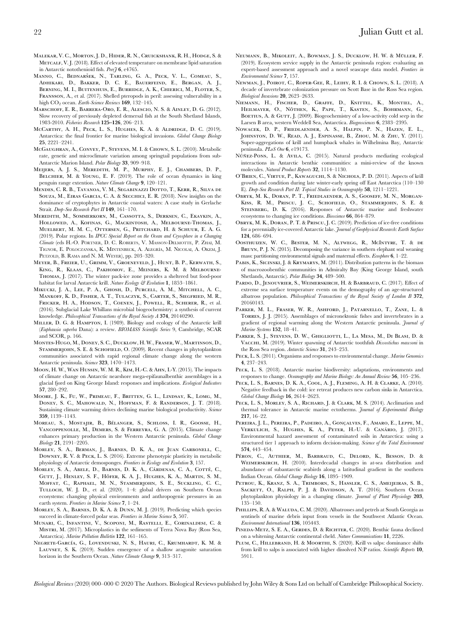- Malekar, V. C., Morton, J. D., Hider, R. N., Cruickshank, R. H., Hodge, S. & METCALF, V. I. (2018). Effect of elevated temperature on membrane lipid saturation in Antarctic notothenioid fish. Peer $76. e4765$ .
- MANNO, C., BEDNARŠEK, N., TARLING, G. A., PECK, V. L., COMEAU, S., Adhikari, D., Bakker, D. C. E., Bauerfeind, E., Bergan, A. J., BERNING, M. I., BUITENHUIS, E., BURRIDGE, A. K., CHIERICI, M., FLOTER, S., Fransson, A., et al. (2017). Shelled pteropods in peril: assessing vulnerability in a high CO<sub>2</sub> ocean. Earth-Science Reviews 169, 132-145.
- Marschoff, E. R., Barrera-Oro, E. R., Alescio, N. S. & Ainley, D. G. (2012). Slow recovery of previously depleted demersal fish at the South Shetland Islands, 1983-2010. Fisheries Research 125–126, 206–213.
- McCarthy, A. H., Peck, L. S., Hughes, K. A. & Aldridge, D. C. (2019). Antarctica: the final frontier for marine biological invasions. Global Change Biology 25, 2221–2241.
- McGaughran, A., Convey, P., Stevens, M. I. & Chown, S. L. (2010). Metabolic rate, genetic and microclimate variation among springtail populations from sub-Antarctic Marion Island. Polar Biology 33, 909–918.
- Meijers, A. J. S., Meredith, M. P., Murphy, E. J., Chambers, D. P., BELCHIER, M. & YOUNG, E. F. (2019). The role of ocean dynamics in king penguin range extention. Nature Climate Change 9, 120–121.
- Mendes, C. R. B., Tavanoa, V. M., Segabinazzi Dotto, T., Kerr, R., Silva de Souza, M., Eiras Garcia, C. A. & Secchici, E. R. (2018). New insights on the dominance of cryptophytes in Antarctic coastal waters: A case study in Gerlache Strait. Deep-Sea Research Part II 149, 161–170.
- Meredith, M., Sommerkorn, M., Cassotta, S., Derksen, C., Ekaykin, A., Hollowed, A., Kofinas, G., Mackintosh, A., Melbourne-Thomas, J., Muelbert, M. M. C., Ottersen, G., Pritchard, H. & Schuur, E. A. G. (2019). Polar regions. In IPCC Special Report on the Ocean and Cryosphere in a Changing Climate (eds H.-O. PÖRTNER, D. C. ROBERTS, V. MASSON-DELMOTTE, P. ZHAI, M. TIGNOR, E. POLOCZANSKA, K. MINTENBECK, A. ALEGRÍA, M. NICOLAI, A. OKEM, J. PETZOLD, B. RAMA and N. M. WEYER), pp. 203–320.
- Meyer, B., Freier, U., Grimm, V., Groeneveld, J., Hunt, B. P., Kerwath, S., King, R., Klaas, C., Pakhomov, E., Meiners, K. M. & Melbourne-Thomas, J. (2017). The winter pack-ice zone provides a sheltered but food-poor habitat for larval Antarctic krill. Nature Ecology & Evolution 1, 1853-1861.
- Mikucki, J. A., Lee, P. A., Ghosh, D., Purcell, A. M., Mitchell, A. C., Mankoff, K. D., Fisher, A. T., Tulaczyk, S., Carter, S., Siegfried, M. R., Fricker, H. A., Hodson, T., Coenen, J., Powell, R., Scherer, R., et al. (2016). Subglacial Lake Whillans microbial biogeochemistry: a synthesis of current knowledge. Philosophical Transactions of the Royal Society A 374, 20140290.
- Miller, D. G. & Hampton, I. (1989). Biology and ecology of the Antarctic krill (Euphausia superba Dana): a review. BIOMASS Scientific Series 9, Cambridge, SCAR and SCOR, p. 166.
- Montes-Hugo, M., Doney, S. C., Ducklow, H. W., Fraser, W., Martinson, D., STAMMERJOHN, S. E. & SCHOFIELD, O. (2009). Recent changes in phytoplankton communities associated with rapid regional climate change along the western Antarctic peninsula. Science 323, 1470-1473.
- Moon, H. W., Wan Hussin, W. M. R., Kim, H.-C. & Ahn, I.-Y. (2015). The impacts of climate change on Antarctic nearshore mega-epifaunalbenthic assemblages in a glacial fjord on King George Island: responses and implications. Ecological Indicators 57, 280–292.
- Moore, J. K., Fu, W., Primeau, F., Britten, G. L., Lindsay, K., Lomg, M., Doney, S. C., Mahowald, N., Hoffman, F. & Randerson, J. T. (2018). Sustaining climate warming drives declining marine biological productivity. Science 359, 1139–1143.
- MOREAU, S., MOSTAJIR, B., BÉLANGER, S., SCHLOSS, I. R., GOOSSE, H., Vancoppenolle, M., Demers, S. & Ferreyra, G. A. (2015). Climate change enhances primary production in the Western Antarctic peninsula. Global Change Biology 21, 2191–2205.
- Morley, S. A., Berman, J., Barnes, D. K. A., de Juan Carbonell, C., Downey, R. V. & Peck, L. S. (2016). Extreme phenotypic plasticity in metabolic physiology of Antarctic demosponges. Frontiers in Ecology and Evolution 3, 157.
- MORLEY, S. A., ABELE, D., BARNES, D. K. A., CÁRDENAS, C. A., COTTÉ, C., GUTT, J., HENLEY, S. F., HÖFER, K. A. J., HUGHES, K. A., MARTIN, S. M., Moffat, C., Raphael, M. N., Stammerjohn, S. E., Suckling, C. C., Tulloch, W. J. D., et al. (2020). 1–4: global drivers on Southern Ocean ecosystems: changing physical environments and anthropogenic pressures in an earth system. Frontiers in Marine Science 7, 1–24.
- Morley, S. A., Barnes, D. K. A. & Dunn, M. J. (2019). Predicting which species succeed in climate-forced polar seas. Frontiers in Marine Science 5, 507.
- Munari, C., Infantini, V., Scoponi, M., Rastelli, E., Corinaldesi, C. & MISTRI, M. (2017). Microplastics in the sediments of Terra Nova Bay (Ross Sea, Antarctica). Marine Pollution Bulletin 122, 161–165.
- NEGRETE-GARCÍA, G., LOVENDUSKI, N. S., HAURI, C., KRUMHARDT, K. M. & LAUVSET, S. K. (2019). Sudden emergence of a shallow aragonite saturation horizon in the Southern Ocean. Nature Climate Change 9, 313-317.
- NEUMANN, B., MIKOLEIT, A., BOWMAN, J. S., DUCKLOW, H. W. & MÜLLER, F. (2019). Ecosystem service supply in the Antarctic peninsula region: evaluating an expert-based assessment approach and a novel seascape data model. Frontiers in Environmental Science 7, 157.
- Newman, J., Poirot, C., Roper-Gee, R., Leihy, R. I. & Chown, S. L. (2018). A decade of invertebrate colonization pressure on Scott Base in the Ross Sea region. Biological Invasions 20, 2623–2633.
- Niemann, H., Fischer, D., Graffe, D., Knittel, K., Montiel, A., HEILMAYER, O., NÖTHEN, K., PAPE, T., KASTEN, S., BOHRMANN, G., BOETIUS, A. & GUTT, J. (2009). Biogeochemistry of a low-activity cold seep in the Larsen B area, western Weddell Sea, Antarctica. Biogeosciences 6, 2383–2395.
- Nowacek, D. P., Friedlaender, A. S., Halpin, P. N., Hazen, E. L., Johnston, D. W., Read, A. J., Espinasse, B., Zhou, M. & Zhu, Y. (2011). Super-aggregations of krill and humpback whales in Wilhelmina Bay, Antarctic peninsula. PLoS One 6, e19173.
- NÚÑEZ-PONS, L. & AVILA, C. (2015). Natural products mediating ecological interactions in Antarctic benthic communities: a mini-review of the known molecules. Natural Product Reports 32, 1114–1130.
- O'Brien, C., Virtue, P., Kawaguchi, S. & Nichols, P. D. (2011). Aspects of krill growth and condition during late winter-early spring off East Antarctica (110–130 E). Deep-Sea Research Part II: Topical Studies in Oceanography 58, 1211–1221.
- Obryk, M. K., Doran, P. T., Friedlaender, A. S., Gooseff, M. N., Morgan-Kiss, R. M., Priscu, J. C., Schofield, O., Stammerjohn, S. E. & STEINBERG, D. K. (2016). Responses of Antarctic marine and freshwater ecosystems to changing ice conditions. Bioscience 66, 864–879.
- Obryk, M. K., Doran, P. T. & Priscu, J. C. (2019). Prediction of ice-free conditions for a perennially ice-covered Antarctic lake. Journal of Geophysical Research: Earth Surface 124, 686–694.
- Oosthuizen, W. C., Bester, M. N., Altwegg, R., McIntyre, T. & de Bruyn, P. J. N. (2015). Decomposing the variance in southern elephant seal weaning mass: partitioning environmental signals and maternal effects. *Ecosphere* 6, 1–22.
- PABIS, K., SICINSKI, J. & KRYMARYS, M. (2011). Distribution patterns in the biomass of macrozoobenthic communities in Admiralty Bay (King George Island, south Shetlands, Antarctic). Polar Biology 34, 489–500.
- PARDO, D., JENOUVRIER, S., WEIMERSKIRCH, H. & BARBRAUD, C. (2017). Effect of extreme sea surface temperature events on the demography of an age-structured albatross population. Philosophical Transactions of the Royal Society of London B 372, 20160143.
- Parker, M. L., Fraser, W. R., Ashford, J., Patarnello, T., Zane, L. & Torres, J. J. (2015). Assemblages of micronektonic fishes and invertebrates in a gradient of regional warming along the Western Antarctic peninsula. Journal of Marine Systems 152, 18–41.
- Parker, S. J., Stevens, D. W., Ghigliotti, L., La Mesa, M., Di Blasi, D. & VACCHI, M. (2019). Winter spawning of Antarctic toothfish Dissostichus mawsoni in the Ross Sea region. Antarctic Science 31, 243–253.
- PECK, L. S. (2011). Organisms and responses to environmental change. Marine Genomics 4, 237–243.
- PECK, L. S. (2018). Antarctic marine biodiversity: adaptations, environments and responses to change. Oceanography and Marine Biology: An Annual Review 56, 105–236.
- Peck, L. S., Barnes, D. K. A., Cool, A. J., Fleming, A. H. & Clarke, A. (2010). Negative feedback in the cold: ice retreat produces new carbon sinks in Antarctica. Global Change Biology 16, 2614–2623.
- PECK, L. S., MORLEY, S. A., RICHARD, J. & CLARK, M. S. (2014). Acclimation and thermal tolerance in Antarctic marine ectotherms. Journal of Experimental Biology 217, 16–22.
- PEREIRA, J. L., PEREIRA, P., PADEIRO, A., GONÇALVES, F., AMARO, E., LEPPE, M., VERKULICH, S., HUGHES, K. A., PETER, H.-U. & CANÁRIO, J. (2017). Environmental hazard assessment of contaminated soils in Antarctica: using a structured tier 1 approach to inform decision-making. Science of the Total Environment 574, 443–454.
- Péron, C., Authier, M., Barbraud, C., Delord, K., Besson, D. & WEIMERSKIRCH, H. (2010). Interdecadal changes in at-sea distribution and abundance of subantarctic seabirds along a latitudinal gradient in the southern Indian Ocean. Global Change Biology 16, 1895–1909.
- PETROU, K., KRANZ, S. A., TRIMBORN, S., HASSLER, C. S., AMEIJEIRAS, S. B., SACKETT, O., RALPH, P. J. & DAVIDSON, A. T. (2016). Southern Ocean phytoplankton physiology in a changing climate. Journal of Plant Physiology 203, 135–150.
- PHILLIPS, R. A. & WALUDA, C. M. (2020). Albatrosses and petrels at South Georgia as sentinels of marine debris input from vessels in the Southwest Atlantic Ocean. Environment International 136, 105443.
- PINEDA-METZ, S. E. A., GERDES, D. & RICHTER, C. (2020). Benthic fauna declined on a whitening Antarctic continental cheld. Nature Communications 11, 2226.
- PLUM, C., HILLEBRAND, H. & MOORTHI, S. (2020). Krill vs salps: dominance shifts from krill to salps is associated with higher dissolved N:P ratios. Scientific Reports 10, 5911.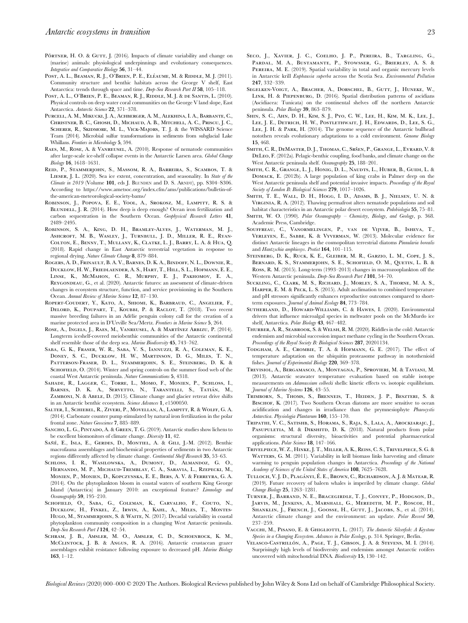- PÖRTNER, H. O. & GUTT, J. (2016). Impacts of climate variability and change on (marine) animals: physiological underpinnings and evolutionary consequences. Integrative and Comparative Biology 56, 31–44.
- Post, A. L., Beaman, R. J., O'Brien, P. E., Eléaume, M. & Riddle, M. J. (2011). Community structure and benthic habitats across the George V shelf, East Antarctica: trends through space and time. Deep-Sea Research Part II 58, 105-118.
- Post, A. L., O'Brien, P. E., Beaman, R. J., Riddle, M. J. & de Santis, L. (2010). Physical controls on deep water coral communities on the George V land slope, East Antarctica. Antarctic Science 22, 371–378.
- Purcell, A. M., Mikucki, J. A., Achberger, A. M., Alekhina, I. A., Barbante, C., Christner, B. C., Ghosh, D., Michaud, A. B., Mitchell, A. C., Priscu, J. C., Scherer, R., Skidmore, M. L., Vick-Majors, T. J. & the WISSARD Science Team (2014). Microbial sulfur transformations in sediments from subglacial Lake Whillans. Frontiers in Microbiology 5, 594.
- Raes, M., Rose, A. & Vanreusel, A. (2010). Response of nematode communities after large-scale ice-shelf collapse events in the Antarctic Larsen area. Global Change Biology 16, 1618–1631.
- Reid, P., Stammerjohn, S., Massom, R. A., Barreira, S., Scambos, T. & LIESER, J. L. (2020). Sea ice extent, concentration, and seasonality. In State of the Climate in 2019 (Volume 101, eds J. BLUNDEN and D. S. ARNDT), pp. S304–S306. According to [https://www.ametsoc.org/index.cfm/ams/publications/bulletin-of](https://www.ametsoc.org/index.cfm/ams/publications/bulletin-of-the-american-meteorological-society-bams/)[the-american-meteorological-society-bams/](https://www.ametsoc.org/index.cfm/ams/publications/bulletin-of-the-american-meteorological-society-bams/)
- Robinson, J., Popova, E. E., Yool, A., Srokosz, M., Lampitt, R. S. & BLUNDELL, J. R. (2014). How deep is deep enough? Ocean iron fertilization and carbon sequestration in the Southern Ocean. Geophysical Research Letters 41, 2489–2495.
- Robinson, S. A., King, D. H., Bramley-Alves, J., Waterman, M. J., ASHCROFT, M. B., WASLEY, J., TURNBULL, J. D., MILLER, R. E., RYAN-Colton, E., Benny, T., Mullany, K., Clatke, L. J., Barry, L. A. & Hua, Q. (2018). Rapid change in East Antarctic terrestrial vegetation in response to regional drying. Nature Climate Change 8, 879–884.
- Rogers, A. D., Frinault, B. A. V., Barnes, D. K. A., Bindoff, N. L., Downie, R., Ducklow, H. W., Friedlaender, A. S., Hart, T., Hill, S. L., Hofmann, E. E., Linse, K., McMahon, C. R., Murphy, E. J., Pakhomov, E. A., Reygondeau, G., et al. (2020). Antarctic futures: an assessment of climate-driven changes in ecosystem structure, function, and service provisioning in the Southern Ocean. Annual Review of Marine Science 12, 87-130.
- Ropert-Coudert, Y., Kato, A., Shiomi, K., Barbraud, C., Angelier, F., Delord, K., Poupart, T., Koubbi, P. & Raclot, T. (2018). Two recent massive breeding failures in an Adélie penguin colony call for the creation of a marine protected area in D'Urville Sea/Mertz. Frontiers in Marine Science 5, 264.
- ROSE, A., INGELS, J., RAES, M., VANREUSEL, A. & MARTÍNEZ ARBIZU, P. (2014). Longterm iceshelf-covered meiobenthic communities of the Antarctic continental shelf resemble those of the deep sea. Marine Biodiversity 45, 743–762.
- Saba, G. K., Fraser, W. R., Saba, V. S., Iannuzzi, R. A., Coleman, K. E., Doney, S. C., Ducklow, H. W., Martinson, D. G., Miles, T. N., Patterson-Fraser, D. L., Stammerjohn, S. E., Steinberg, D. K. & SCHOFIELD, O. (2014). Winter and spring controls on the summer food web of the coastal West Antarctic peninsula. Nature Communications 5, 4318.
- Sahade, R., Lagger, C., Torre, L., Momo, F., Monien, P., Schloss, I., BARNES, D. K. A., SERVETTO, N., TARANTELLI, S., TATIÁN, M., ZAMBONI, N. & ABELE, D. (2015). Climate change and glacier retreat drive shifts in an Antarctic benthic ecosystem. Science Advances 1, e1500050.
- Salter, I., Schiebel, R., Ziveri, P., Movellan, A., Lampitt, R. & Wolff, G. A. (2014). Carbonate counter pump stimulated by natural iron fertilization in the polar frontal zone. Nature Geoscience 7, 885–889.
- SANCHO, L. G., PINTADO, A. & GREEN, T. G. (2019). Antarctic studies show lichens to be excellent biomonitors of climate change. Diversity 11, 42.
- SAÑÉ, E., ISLA, E., GERDES, D., MONTIEL, A. & GILI, J.-M. (2012). Benthic macrofauna assemblages and biochemical properties of sediments in two Antarctic regions differently affected by climate change. Continental Shelf Research 35, 53–63.
- Schloss, I. R., Wasilowska, A., Dumont, D., Almandoz, G. O., Hernando, M. P., Michaud-Tremblay, C. A., Saravia, L., Rzepecki, M., Monien, P., Monien, D., Kopczynska, E. E., Bers, A. V. & Ferreyra, G. A. (2014). On the phytoplankton bloom in coastal waters of southern King George Island (Antarctica) in January 2010: an exceptional feature? Limnology and Oceanography 59, 195–210.
- SCHOFIELD, O., SABA, G., COLEMAN, K., CARVALHO, F., COUTO, N., Ducklow, H., Finkel, Z., Irwin, A., Kahl, A., Miles, T., Montes-HUGO, M., STAMMERJOHN, S. & WAITE, N. (2017). Decadal variability in coastal phytoplankton community composition in a changing West Antarctic peninsula. Deep-Sea Research Part I 124, 42–54.
- Schram, J. B., Amsler, M. O., Amsler, C. D., Schoenrock, K. M., McClintock, J. B. & Angus, R. A. (2016). Antarctic crustacean grazer assemblages exhibit resistance following exposure to decreased pH. Marine Biology 163, 1–12.
- Seco, J., Xavier, J. C., Coelho, J. P., Pereira, B., Targling, G., Pardal, M. A., Bustamante, P., Stowsser, G., Brierley, A. S. & PEREIRA, M. E. (2019). Spatial variability in total and organic mercury levels in Antarctic krill Euphausia superba across the Scotia Sea. Environmental Pollution 247, 332–339.
- Segelken-Voigt, A., Bracher, A., Dorschel, B., Gutt, J., Huneke, W., Link, H. & Piepenburg, D. (2016). Spatial distribution patterns of ascidians (Ascidiacea: Tunicata) on the continental shelves off the northern Antarctic peninsula. Polar Biology 39, 863–879.
- Shin, S. C., Ahn, D. H., Kim, S. J., Pyo, C. W., Lee, H., Kim, M. K., Lee, J., Lee, J. E., Detrich, H. W., Postlethwait, J. H., Edwards, D., Lee, S. G., LEE, J. H. & PARK, H. (2014). The genome sequence of the Antarctic bullhead notothen reveals evolutionary adaptations to a cold environment. Genome Biology 15, 468.
- SMITH, C. R., DEMASTER, D. J., THOMAS, C., SRŠEN, P., GRANGE, L., EVRARD, V. & DeLeo, F. (2012a). Pelagic-benthic coupling, food banks, and climate change on the West Antarctic peninsula shelf. Oceanography 25, 188–201.
- SMITH, C. R., GRANGE, L. J., HONIG, D. L., NAUDTS, L., HUBER, B., GUIDI, L. & Domack, E. (2012b). A large population of king crabs in Palmer deep on the West Antarctic peninsula shelf and potential invasive impacts. Proceedings of the Royal Society of London B: Biological Sciences 279, 1017–1026.
- Smith, T. E., Wall, D. H., Hogg, I. D., Adams, B. J., Nielsen, U. N. & Virginia, R. A. (2012). Thawing permafrost alters nematode populations and soil habitat characteristics in an Antarctic polar desert ecosystem. Pedobiologia 55, 75-81.
- SMITH, W. O. (1990). Polar Oceanography Chemistry, Biology, and Geology, p. 368. Academic Press, Cambridge.
- Souffreau, C., Vanormelingen, P., van de Vijver, B., Isheva, T., Verleyen, E., Sabbe, K. & Vyverman, W. (2013). Molecular evidence for distinct Antarctic lineages in the cosmopolitan terrestrial diatoms Pinnularia borealis and Hantzschia amphioxys. Protist 164, 101–115.
- STEINBERG, D. K., RUCK, K. E., GLEIBER, M. R., GARZIO, L. M., COPE, L. S., Bernard, K. S., Stammerjohn, S. E., Schofield, O. M., Quetin, L. B. & Ross, R. M. (2015). Long-term (1993–2013) changes in macrozooplankton off the Western Antarctic peninsula. Deep-Sea Research Part I 101, 54–70.
- Suckling, C., Clark, M. S., Richard, J., Morley, S. A., Thorne, M. A. S., Harper, E. M. & Peck, L. S. (2015). Adult acclimation to combined temperature and pH stressors significantly enhances reproductive outcomes compared to shortterm exposures. Journal of Animal Ecology 84, 773-784.
- Sutherland, D., Howard-Williams, C. & Hawes, I. (2020). Environmental drivers that influence microalgal species in meltwater pools on the McMurdo ice shelf, Antarctica. Polar Biology 43, 467-482.
- Thurber, A. R., Seabrook, S. & Welsh, R. M. (2020). Riddles in the cold: Antarctic endemism and microbial succession impact methane cycling in the Southern Ocean. Proceedings of the Royal Society B: Biological Sciences 287, 20201134.
- Todgham, A. E., Crombie, T. A. & Hofmann, G. E. (2017). The effect of temperature adaptation on the ubiquitin proteasome pathway in notothenioid fishes. Journal of Experimental Biology 220, 369-378.
- Trevisiol, A., Bergamasco, A., Montagna, P., Sprovieri, M. & Taviani, M. (2013). Antarctic seawater temperature evaluation based on stable isotope measurements on Adamussium colbecki shells: kinetic effects vs. isotopic equilibrium. Journal of Marine Systems 126, 43–55.
- Trimborn, S., Thoms, S., Brenneis, T., Heiden, J. P., Beszteri, S. & BISCHOF, K. (2017). Two Southern Ocean diatoms are more sensitive to ocean acidification and changes in irradiance than the prymnesiophyte Phaeocystis Antarctica. Physiologia Plantarum 160, 155–170.
- Tripathi, V. C., Satishb, S., Horama, S., Raja, S., Lala, A., Arockiarajc, J., PASUPULETIA, M. & DIKSHITD, D. K. (2018). Natural products from polar organisms: structural diversity, bioactivities and potential pharmaceutical applications. Polar Science 18, 147-166.
- Trivelpiece, W. Z., Hinke, J. T., Miller, A. K., Reiss, C. S., Trivelpiece, S. G. & WATTERS, G. M. (2011). Variability in krill biomass links harvesting and climate warming to penguin population changes in Antarctica. Proceedings of the National Academy of Sciences of the United States of America 108, 7625–7628.
- Tulloch, V. J. D., Plaga´nyi, E´. E., Brown, C., Richardson, A. J. & Matear, R. (2019). Future recovery of baleen whales is imperiled by climate change. Global Change Biology 25, 1263–1281.
- Turner, J., Barrand, N. E., Bracegirdle, T. J., Convey, P., Hodgson, D., Jarvis, M., Jenkins, A., Marshall, G., Meredith, M. P., Roscoe, H., SHANKLIN, J., FRENCH, J., GOOSSE, H., GUTT, J., JACOBS, S., et al. (2014). Antarctic climate change and the environment: an update. Polar Record 50, 237–259.
- VACCHI, M., PISANO, E. & GHIGLIOTTI, L. (2017). The Antarctic Silverfish: A Keystone Species in a Changing Ecosystem. Advances in Polar Ecology, p. 314. Springer, Berlin.
- Velasco-Castrillo´n, A., Page, T. J., Gibson, J. A. & Stevens, M. I. (2014). Surprisingly high levels of biodiversity and endemism amongst Antarctic rotifers uncovered with mitochondrial DNA. Biodiversity 15, 130–142.